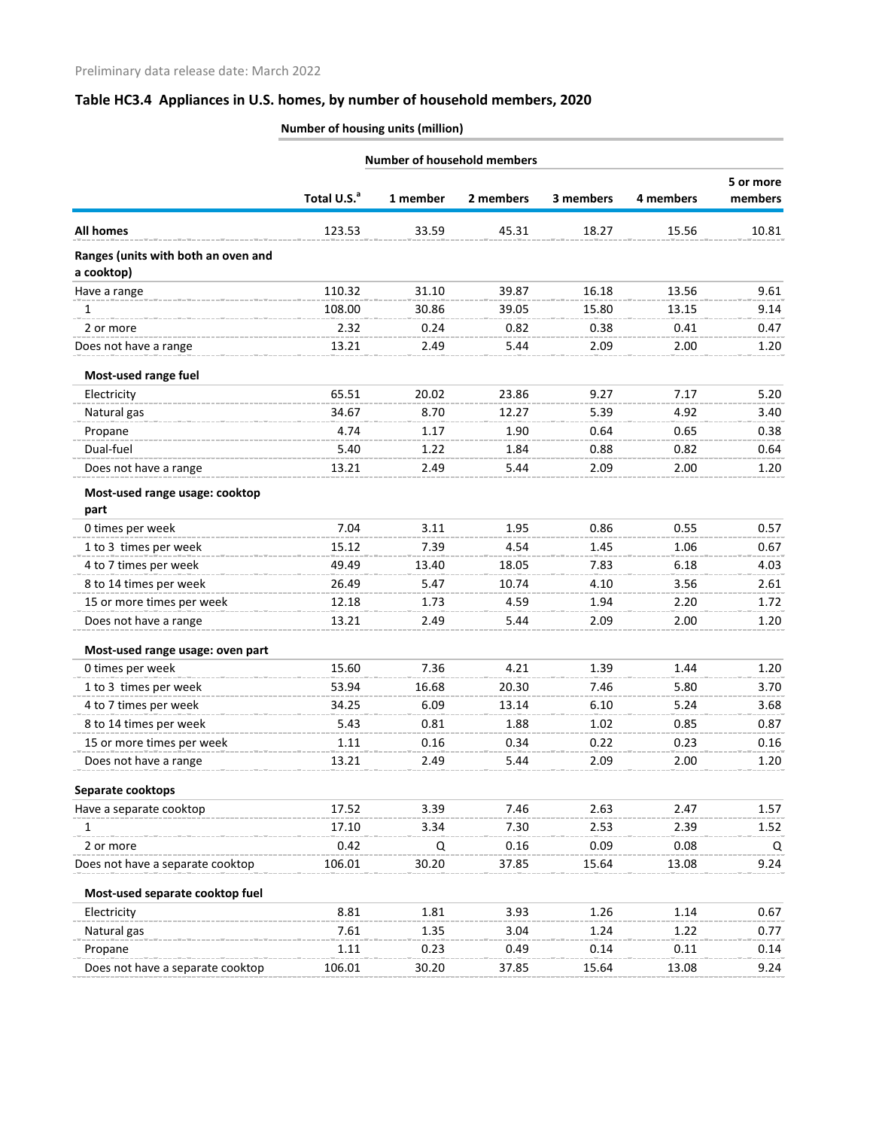|                                                   | <b>Number of household members</b> |          |           |           |           |                      |
|---------------------------------------------------|------------------------------------|----------|-----------|-----------|-----------|----------------------|
|                                                   | Total U.S. <sup>a</sup>            | 1 member | 2 members | 3 members | 4 members | 5 or more<br>members |
| <b>All homes</b>                                  | 123.53                             | 33.59    | 45.31     | 18.27     | 15.56     | 10.81                |
| Ranges (units with both an oven and<br>a cooktop) |                                    |          |           |           |           |                      |
| Have a range                                      | 110.32                             | 31.10    | 39.87     | 16.18     | 13.56     | 9.61                 |
| 1                                                 | 108.00                             | 30.86    | 39.05     | 15.80     | 13.15     | 9.14                 |
| 2 or more                                         | 2.32                               | 0.24     | 0.82      | 0.38      | 0.41      | 0.47                 |
| Does not have a range                             | 13.21                              | 2.49     | 5.44      | 2.09      | 2.00      | 1.20                 |
| Most-used range fuel                              |                                    |          |           |           |           |                      |
| Electricity                                       | 65.51                              | 20.02    | 23.86     | 9.27      | 7.17      | 5.20                 |
| Natural gas                                       | 34.67                              | 8.70     | 12.27     | 5.39      | 4.92      | 3.40                 |
| Propane                                           | 4.74                               | 1.17     | 1.90      | 0.64      | 0.65      | 0.38                 |
| Dual-fuel                                         | 5.40                               | 1.22     | 1.84      | 0.88      | 0.82      | 0.64                 |
| Does not have a range                             | 13.21                              | 2.49     | 5.44      | 2.09      | 2.00      | 1.20                 |
| Most-used range usage: cooktop                    |                                    |          |           |           |           |                      |
| part                                              |                                    |          |           |           |           |                      |
| 0 times per week                                  | 7.04                               | 3.11     | 1.95      | 0.86      | 0.55      | 0.57                 |
| 1 to 3 times per week                             | 15.12                              | 7.39     | 4.54      | 1.45      | 1.06      | 0.67                 |
| 4 to 7 times per week                             | 49.49                              | 13.40    | 18.05     | 7.83      | 6.18      | 4.03                 |
| 8 to 14 times per week                            | 26.49                              | 5.47     | 10.74     | 4.10      | 3.56      | 2.61                 |
| 15 or more times per week                         | 12.18                              | 1.73     | 4.59      | 1.94      | 2.20      | 1.72                 |
| Does not have a range                             | 13.21                              | 2.49     | 5.44      | 2.09      | 2.00      | 1.20                 |
| Most-used range usage: oven part                  |                                    |          |           |           |           |                      |
| 0 times per week                                  | 15.60                              | 7.36     | 4.21      | 1.39      | 1.44      | 1.20                 |
| 1 to 3 times per week                             | 53.94                              | 16.68    | 20.30     | 7.46      | 5.80      | 3.70                 |
| 4 to 7 times per week                             | 34.25                              | 6.09     | 13.14     | 6.10      | 5.24      | 3.68                 |
| 8 to 14 times per week                            | 5.43                               | 0.81     | 1.88      | 1.02      | 0.85      | 0.87                 |
| 15 or more times per week                         | 1.11                               | 0.16     | 0.34      | 0.22      | 0.23      | 0.16                 |
| Does not have a range                             | 13.21                              | 2.49     | 5.44      | 2.09      | 2.00      | 1.20                 |
| Separate cooktops                                 |                                    |          |           |           |           |                      |
| Have a separate cooktop                           | 17.52                              | 3.39     | 7.46      | 2.63      | 2.47      | 1.57                 |
| 1                                                 | 17.10                              | 3.34     | 7.30      | 2.53      | 2.39      | 1.52                 |
| 2 or more                                         | 0.42                               | Q        | 0.16      | 0.09      | 0.08      | Q                    |
| Does not have a separate cooktop                  | 106.01                             | 30.20    | 37.85     | 15.64     | 13.08     | 9.24                 |
| Most-used separate cooktop fuel                   |                                    |          |           |           |           |                      |
| Electricity                                       | 8.81                               | 1.81     | 3.93      | 1.26      | 1.14      | 0.67                 |
| Natural gas                                       | 7.61                               | 1.35     | 3.04      | 1.24      | 1.22      | 0.77                 |
| Propane                                           | 1.11                               | 0.23     | 0.49      | 0.14      | 0.11      | 0.14                 |
| Does not have a separate cooktop                  | 106.01                             | 30.20    | 37.85     | 15.64     | 13.08     | 9.24                 |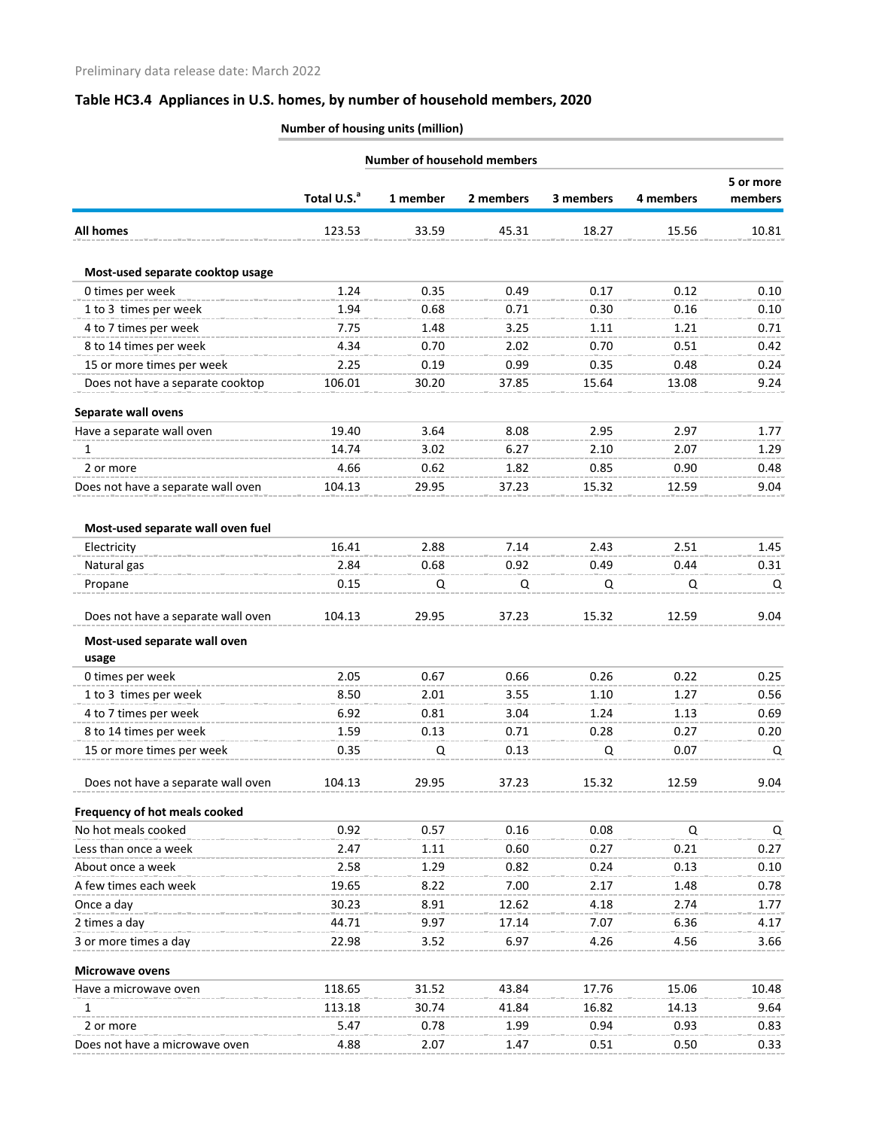| <b>Number of household members</b>    |                         |          |           |           |           |         |
|---------------------------------------|-------------------------|----------|-----------|-----------|-----------|---------|
|                                       |                         |          |           | 5 or more |           |         |
|                                       | Total U.S. <sup>a</sup> | 1 member | 2 members | 3 members | 4 members | members |
| <b>All homes</b>                      | 123.53                  | 33.59    | 45.31     | 18.27     | 15.56     | 10.81   |
| Most-used separate cooktop usage      |                         |          |           |           |           |         |
| 0 times per week                      | 1.24                    | 0.35     | 0.49      | 0.17      | 0.12      | 0.10    |
| 1 to 3 times per week                 | 1.94                    | 0.68     | 0.71      | 0.30      | 0.16      | 0.10    |
| 4 to 7 times per week                 | 7.75                    | 1.48     | 3.25      | 1.11      | 1.21      | 0.71    |
| 8 to 14 times per week                | 4.34                    | 0.70     | 2.02      | 0.70      | 0.51      | 0.42    |
| 15 or more times per week             | 2.25                    | 0.19     | 0.99      | 0.35      | 0.48      | 0.24    |
| Does not have a separate cooktop      | 106.01                  | 30.20    | 37.85     | 15.64     | 13.08     | 9.24    |
| Separate wall ovens                   |                         |          |           |           |           |         |
| Have a separate wall oven             | 19.40                   | 3.64     | 8.08      | 2.95      | 2.97      | 1.77    |
| 1                                     | 14.74                   | 3.02     | 6.27      | 2.10      | 2.07      | 1.29    |
| 2 or more                             | 4.66                    | 0.62     | 1.82      | 0.85      | 0.90      | 0.48    |
| Does not have a separate wall oven    | 104.13                  | 29.95    | 37.23     | 15.32     | 12.59     | 9.04    |
| Most-used separate wall oven fuel     |                         |          |           |           |           |         |
| Electricity                           | 16.41                   | 2.88     | 7.14      | 2.43      | 2.51      | 1.45    |
| Natural gas                           | 2.84                    | 0.68     | 0.92      | 0.49      | 0.44      | 0.31    |
| Propane                               | 0.15                    | Q        | Q         | Q         | Q         | Q       |
| Does not have a separate wall oven    | 104.13                  | 29.95    | 37.23     | 15.32     | 12.59     | 9.04    |
| Most-used separate wall oven<br>usage |                         |          |           |           |           |         |
| 0 times per week                      | 2.05                    | 0.67     | 0.66      | 0.26      | 0.22      | 0.25    |
| 1 to 3 times per week                 | 8.50                    | 2.01     | 3.55      | 1.10      | 1.27      | 0.56    |
| 4 to 7 times per week                 | 6.92                    | 0.81     | 3.04      | 1.24      | 1.13      | 0.69    |
| 8 to 14 times per week                | 1.59                    | 0.13     | 0.71      | 0.28      | 0.27      | 0.20    |
| 15 or more times per week             | 0.35                    | Q        | 0.13      | Q         | 0.07      | Q       |
| Does not have a separate wall oven    | 104.13                  | 29.95    | 37.23     | 15.32     | 12.59     | 9.04    |
| Frequency of hot meals cooked         |                         |          |           |           |           |         |
| No hot meals cooked                   | 0.92                    | 0.57     | 0.16      | 0.08      | Q         | Q       |
| Less than once a week                 | 2.47                    | 1.11     | 0.60      | 0.27      | 0.21      | 0.27    |
| About once a week                     | 2.58                    | 1.29     | 0.82      | 0.24      | 0.13      | 0.10    |
| A few times each week                 | 19.65                   | 8.22     | 7.00      | 2.17      | 1.48      | 0.78    |
| Once a day                            | 30.23                   | 8.91     | 12.62     | 4.18      | 2.74      | 1.77    |
| 2 times a day                         | 44.71                   | 9.97     | 17.14     | 7.07      | 6.36      | 4.17    |
| 3 or more times a day                 | 22.98                   | 3.52     | 6.97      | 4.26      | 4.56      | 3.66    |
| <b>Microwave ovens</b>                |                         |          |           |           |           |         |
| Have a microwave oven                 | 118.65                  | 31.52    | 43.84     | 17.76     | 15.06     | 10.48   |
| 1                                     | 113.18                  | 30.74    | 41.84     | 16.82     | 14.13     | 9.64    |
| 2 or more                             | 5.47                    | 0.78     | 1.99      | 0.94      | 0.93      | 0.83    |
| Does not have a microwave oven        | 4.88                    | 2.07     | 1.47      | 0.51      | 0.50      | 0.33    |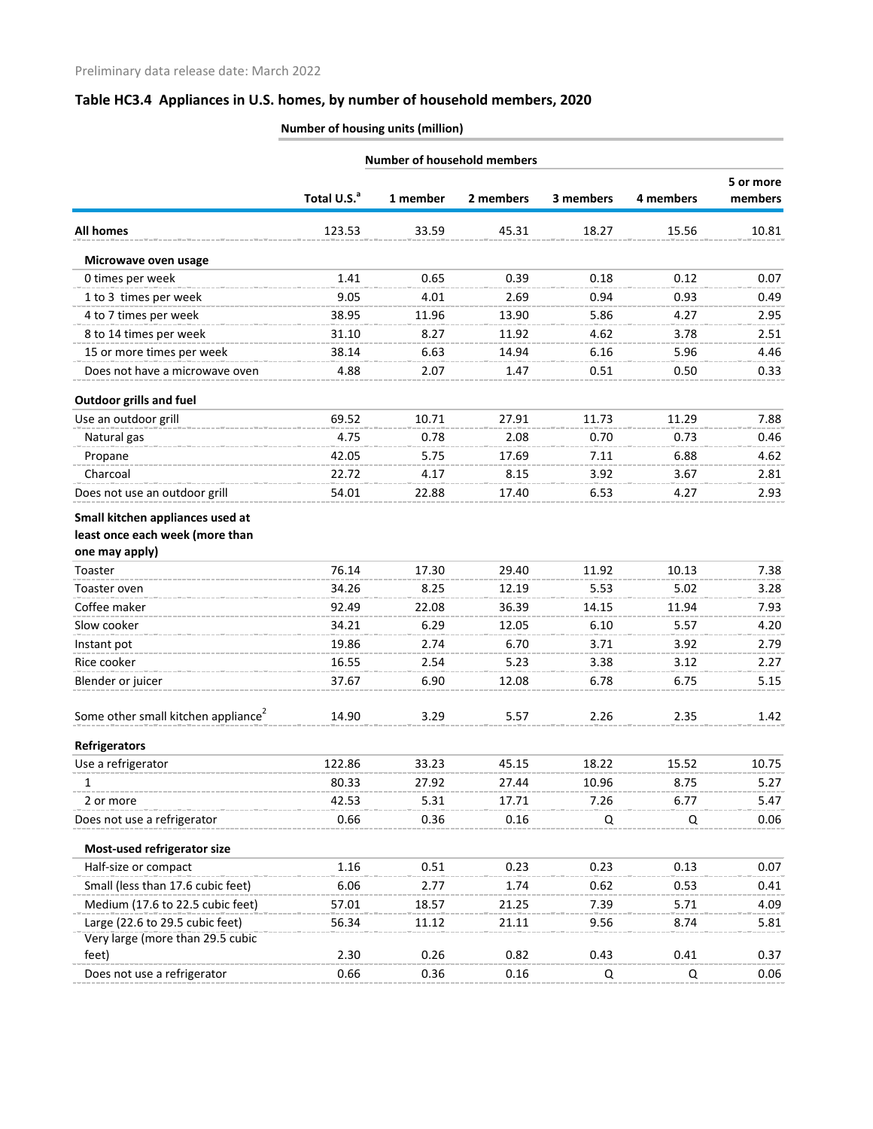|                                                                     |                         |          | <b>Number of household members</b> |           |           |                      |
|---------------------------------------------------------------------|-------------------------|----------|------------------------------------|-----------|-----------|----------------------|
|                                                                     | Total U.S. <sup>a</sup> | 1 member | 2 members                          | 3 members | 4 members | 5 or more<br>members |
| <b>All homes</b>                                                    | 123.53                  | 33.59    | 45.31                              | 18.27     | 15.56     | 10.81                |
| Microwave oven usage                                                |                         |          |                                    |           |           |                      |
| 0 times per week                                                    | 1.41                    | 0.65     | 0.39                               | 0.18      | 0.12      | 0.07                 |
| 1 to 3 times per week                                               | 9.05                    | 4.01     | 2.69                               | 0.94      | 0.93      | 0.49                 |
| 4 to 7 times per week                                               | 38.95                   | 11.96    | 13.90                              | 5.86      | 4.27      | 2.95                 |
| 8 to 14 times per week                                              | 31.10                   | 8.27     | 11.92                              | 4.62      | 3.78      | 2.51                 |
| 15 or more times per week                                           | 38.14                   | 6.63     | 14.94                              | 6.16      | 5.96      | 4.46                 |
| Does not have a microwave oven                                      | 4.88                    | 2.07     | 1.47                               | 0.51      | 0.50      | 0.33                 |
| <b>Outdoor grills and fuel</b>                                      |                         |          |                                    |           |           |                      |
| Use an outdoor grill                                                | 69.52                   | 10.71    | 27.91                              | 11.73     | 11.29     | 7.88                 |
| Natural gas                                                         | 4.75                    | 0.78     | 2.08                               | 0.70      | 0.73      | 0.46                 |
| Propane                                                             | 42.05                   | 5.75     | 17.69                              | 7.11      | 6.88      | 4.62                 |
| Charcoal                                                            | 22.72                   | 4.17     | 8.15                               | 3.92      | 3.67      | 2.81                 |
| Does not use an outdoor grill                                       | 54.01                   | 22.88    | 17.40                              | 6.53      | 4.27      | 2.93                 |
| Small kitchen appliances used at                                    |                         |          |                                    |           |           |                      |
| least once each week (more than                                     |                         |          |                                    |           |           |                      |
| one may apply)                                                      |                         |          |                                    |           |           |                      |
| Toaster                                                             | 76.14                   | 17.30    | 29.40                              | 11.92     | 10.13     | 7.38                 |
| Toaster oven                                                        | 34.26                   | 8.25     | 12.19                              | 5.53      | 5.02      | 3.28                 |
| Coffee maker                                                        | 92.49                   | 22.08    | 36.39                              | 14.15     | 11.94     | 7.93                 |
| Slow cooker                                                         | 34.21                   | 6.29     | 12.05                              | 6.10      | 5.57      | 4.20                 |
| Instant pot                                                         | 19.86                   | 2.74     | 6.70                               | 3.71      | 3.92      | 2.79                 |
| Rice cooker                                                         | 16.55                   | 2.54     | 5.23                               | 3.38      | 3.12      | 2.27                 |
| Blender or juicer                                                   | 37.67                   | 6.90     | 12.08                              | 6.78      | 6.75      | 5.15                 |
| Some other small kitchen appliance <sup>2</sup>                     | 14.90                   | 3.29     | 5.57                               | 2.26      | 2.35      | 1.42                 |
| <b>Refrigerators</b>                                                |                         |          |                                    |           |           |                      |
| Use a refrigerator                                                  | 122.86                  | 33.23    | 45.15                              | 18.22     | 15.52     | 10.75                |
| 1                                                                   | 80.33                   | 27.92    | 27.44                              | 10.96     | 8.75      | 5.27                 |
| 2 or more                                                           | 42.53                   | 5.31     | 17.71                              | 7.26      | 6.77      | 5.47                 |
| Does not use a refrigerator                                         | 0.66                    | 0.36     | 0.16                               | Q         | Q         | 0.06                 |
| Most-used refrigerator size                                         |                         |          |                                    |           |           |                      |
| Half-size or compact                                                | 1.16                    | 0.51     | 0.23                               | 0.23      | 0.13      | 0.07                 |
| Small (less than 17.6 cubic feet)                                   | 6.06                    | 2.77     | 1.74                               | 0.62      | 0.53      | 0.41                 |
| Medium (17.6 to 22.5 cubic feet)                                    | 57.01                   | 18.57    | 21.25                              | 7.39      | 5.71      | 4.09                 |
| Large (22.6 to 29.5 cubic feet)<br>Very large (more than 29.5 cubic | 56.34                   | 11.12    | 21.11                              | 9.56      | 8.74      | 5.81                 |
| feet)                                                               | 2.30                    | 0.26     | 0.82                               | 0.43      | 0.41      | 0.37                 |
| Does not use a refrigerator                                         | 0.66                    | 0.36     | 0.16                               | Q         | Q         | 0.06                 |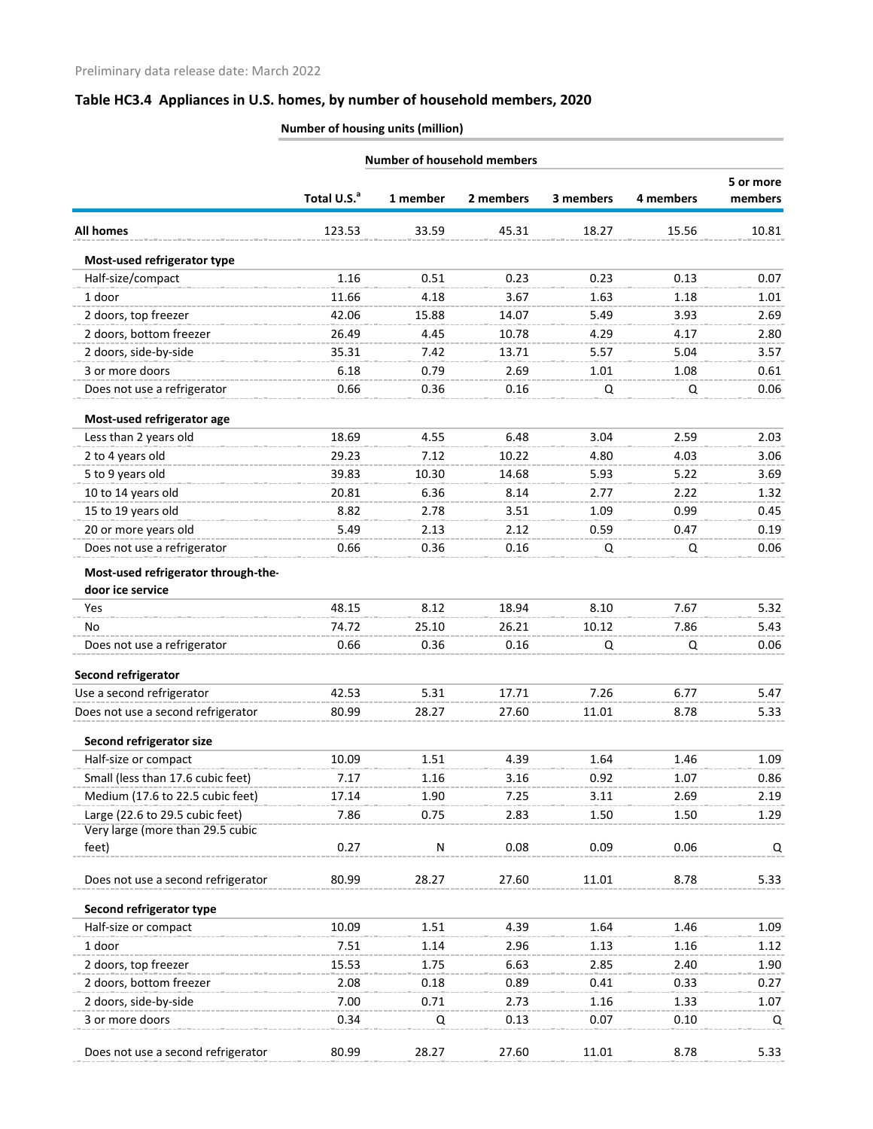| <b>Number of household members</b> |          |           |           |           |                      |
|------------------------------------|----------|-----------|-----------|-----------|----------------------|
| Total U.S. <sup>a</sup>            | 1 member | 2 members | 3 members | 4 members | 5 or more<br>members |
| 123.53                             | 33.59    | 45.31     | 18.27     | 15.56     | 10.81                |
|                                    |          |           |           |           |                      |
| 1.16                               | 0.51     | 0.23      | 0.23      | 0.13      | 0.07                 |
| 11.66                              | 4.18     | 3.67      | 1.63      | 1.18      | 1.01                 |
| 42.06                              | 15.88    | 14.07     | 5.49      | 3.93      | 2.69                 |
| 26.49                              | 4.45     | 10.78     | 4.29      | 4.17      | 2.80                 |
| 35.31                              | 7.42     | 13.71     | 5.57      | 5.04      | 3.57                 |
| 6.18                               | 0.79     | 2.69      | 1.01      | 1.08      | 0.61                 |
| 0.66                               | 0.36     | 0.16      | Q         | Q         | 0.06                 |
|                                    |          |           |           |           |                      |
| 18.69                              | 4.55     | 6.48      | 3.04      | 2.59      | 2.03                 |
| 29.23                              | 7.12     | 10.22     | 4.80      | 4.03      | 3.06                 |
| 39.83                              | 10.30    | 14.68     | 5.93      | 5.22      | 3.69                 |
| 20.81                              | 6.36     | 8.14      | 2.77      | 2.22      | 1.32                 |
| 8.82                               | 2.78     | 3.51      | 1.09      | 0.99      | 0.45                 |
| 5.49                               | 2.13     | 2.12      | 0.59      | 0.47      | 0.19                 |
| 0.66                               | 0.36     | 0.16      | Q         | Q         | 0.06                 |
|                                    |          |           |           |           |                      |
| 48.15                              | 8.12     | 18.94     | 8.10      | 7.67      | 5.32                 |
| 74.72                              | 25.10    | 26.21     | 10.12     | 7.86      | 5.43                 |
| 0.66                               | 0.36     | 0.16      | Q         | Q         | 0.06                 |
|                                    |          |           |           |           |                      |
| 42.53                              | 5.31     | 17.71     | 7.26      | 6.77      | 5.47                 |
| 80.99                              | 28.27    | 27.60     | 11.01     | 8.78      | 5.33                 |
|                                    |          |           |           |           |                      |
| 10.09                              | 1.51     | 4.39      | 1.64      | 1.46      | 1.09                 |
| 7.17                               | 1.16     | 3.16      | 0.92      | 1.07      | 0.86                 |
| 17.14                              | 1.90     | 7.25      | 3.11      | 2.69      | 2.19                 |
| 7.86                               | 0.75     | 2.83      | 1.50      | 1.50      | 1.29                 |
|                                    |          |           |           |           |                      |
|                                    |          |           |           |           | Q                    |
| 80.99                              | 28.27    | 27.60     | 11.01     | 8.78      | 5.33                 |
|                                    |          |           |           |           |                      |
| 10.09                              | 1.51     | 4.39      | 1.64      | 1.46      | 1.09                 |
| 7.51                               | 1.14     | 2.96      | 1.13      | 1.16      | 1.12                 |
| 15.53                              | 1.75     | 6.63      | 2.85      | 2.40      | 1.90                 |
| 2.08                               | 0.18     | 0.89      | 0.41      | 0.33      | 0.27                 |
| 7.00                               | 0.71     | 2.73      | 1.16      | 1.33      | 1.07                 |
| 0.34                               | Q        | 0.13      | 0.07      | 0.10      | Q                    |
| 80.99                              | 28.27    | 27.60     | 11.01     | 8.78      | 5.33                 |
|                                    | 0.27     | N         | 0.08      | 0.09      | 0.06                 |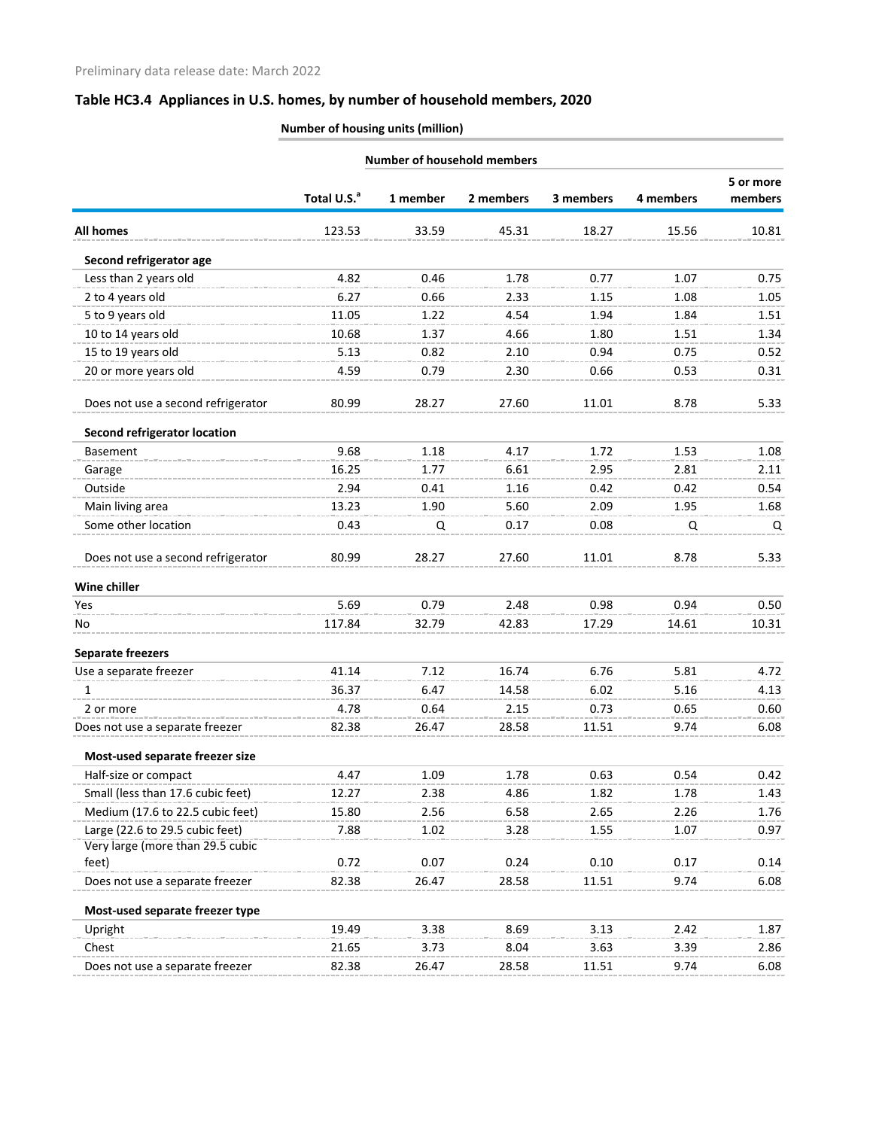|                                                                     |                         |          | <b>Number of household members</b> |           |           |           |
|---------------------------------------------------------------------|-------------------------|----------|------------------------------------|-----------|-----------|-----------|
|                                                                     |                         |          |                                    |           |           | 5 or more |
|                                                                     | Total U.S. <sup>a</sup> | 1 member | 2 members                          | 3 members | 4 members | members   |
| <b>All homes</b>                                                    | 123.53                  | 33.59    | 45.31                              | 18.27     | 15.56     | 10.81     |
| Second refrigerator age                                             |                         |          |                                    |           |           |           |
| Less than 2 years old                                               | 4.82                    | 0.46     | 1.78                               | 0.77      | 1.07      | 0.75      |
| 2 to 4 years old                                                    | 6.27                    | 0.66     | 2.33                               | 1.15      | 1.08      | 1.05      |
| 5 to 9 years old                                                    | 11.05                   | 1.22     | 4.54                               | 1.94      | 1.84      | 1.51      |
| 10 to 14 years old                                                  | 10.68                   | 1.37     | 4.66                               | 1.80      | 1.51      | 1.34      |
| 15 to 19 years old                                                  | 5.13                    | 0.82     | 2.10                               | 0.94      | 0.75      | 0.52      |
| 20 or more years old                                                | 4.59                    | 0.79     | 2.30                               | 0.66      | 0.53      | 0.31      |
| Does not use a second refrigerator                                  | 80.99                   | 28.27    | 27.60                              | 11.01     | 8.78      | 5.33      |
| <b>Second refrigerator location</b>                                 |                         |          |                                    |           |           |           |
| Basement                                                            | 9.68                    | 1.18     | 4.17                               | 1.72      | 1.53      | 1.08      |
| Garage                                                              | 16.25                   | 1.77     | 6.61                               | 2.95      | 2.81      | 2.11      |
| Outside                                                             | 2.94                    | 0.41     | 1.16                               | 0.42      | 0.42      | 0.54      |
| Main living area                                                    | 13.23                   | 1.90     | 5.60                               | 2.09      | 1.95      | 1.68      |
| Some other location                                                 | 0.43                    | Q        | 0.17                               | 0.08      | Q         | Q         |
| Does not use a second refrigerator                                  | 80.99                   | 28.27    | 27.60                              | 11.01     | 8.78      | 5.33      |
| Wine chiller                                                        |                         |          |                                    |           |           |           |
| Yes                                                                 | 5.69                    | 0.79     | 2.48                               | 0.98      | 0.94      | 0.50      |
| No.                                                                 | 117.84                  | 32.79    | 42.83                              | 17.29     | 14.61     | 10.31     |
| <b>Separate freezers</b>                                            |                         |          |                                    |           |           |           |
| Use a separate freezer                                              | 41.14                   | 7.12     | 16.74                              | 6.76      | 5.81      | 4.72      |
| 1                                                                   | 36.37                   | 6.47     | 14.58                              | 6.02      | 5.16      | 4.13      |
| 2 or more                                                           | 4.78                    | 0.64     | 2.15                               | 0.73      | 0.65      | 0.60      |
| Does not use a separate freezer                                     | 82.38                   | 26.47    | 28.58                              | 11.51     | 9.74      | 6.08      |
| Most-used separate freezer size                                     |                         |          |                                    |           |           |           |
| Half-size or compact                                                | 4.47                    | 1.09     | 1.78                               | 0.63      | 0.54      | 0.42      |
| Small (less than 17.6 cubic feet)                                   | 12.27                   | 2.38     | 4.86                               | 1.82      | 1.78      | 1.43      |
| Medium (17.6 to 22.5 cubic feet)                                    | 15.80                   | 2.56     | 6.58                               | 2.65      | 2.26      | 1.76      |
| Large (22.6 to 29.5 cubic feet)<br>Very large (more than 29.5 cubic | 7.88                    | 1.02     | 3.28                               | 1.55      | 1.07      | 0.97      |
| feet)                                                               | 0.72                    | 0.07     | 0.24                               | 0.10      | 0.17      | 0.14      |
| Does not use a separate freezer                                     | 82.38                   | 26.47    | 28.58                              | 11.51     | 9.74      | 6.08      |
| Most-used separate freezer type                                     |                         |          |                                    |           |           |           |
| Upright                                                             | 19.49                   | 3.38     | 8.69                               | 3.13      | 2.42      | 1.87      |
| Chest                                                               | 21.65                   | 3.73     | 8.04                               | 3.63      | 3.39      | 2.86      |
| Does not use a separate freezer                                     | 82.38                   | 26.47    | 28.58                              | 11.51     | 9.74      | 6.08      |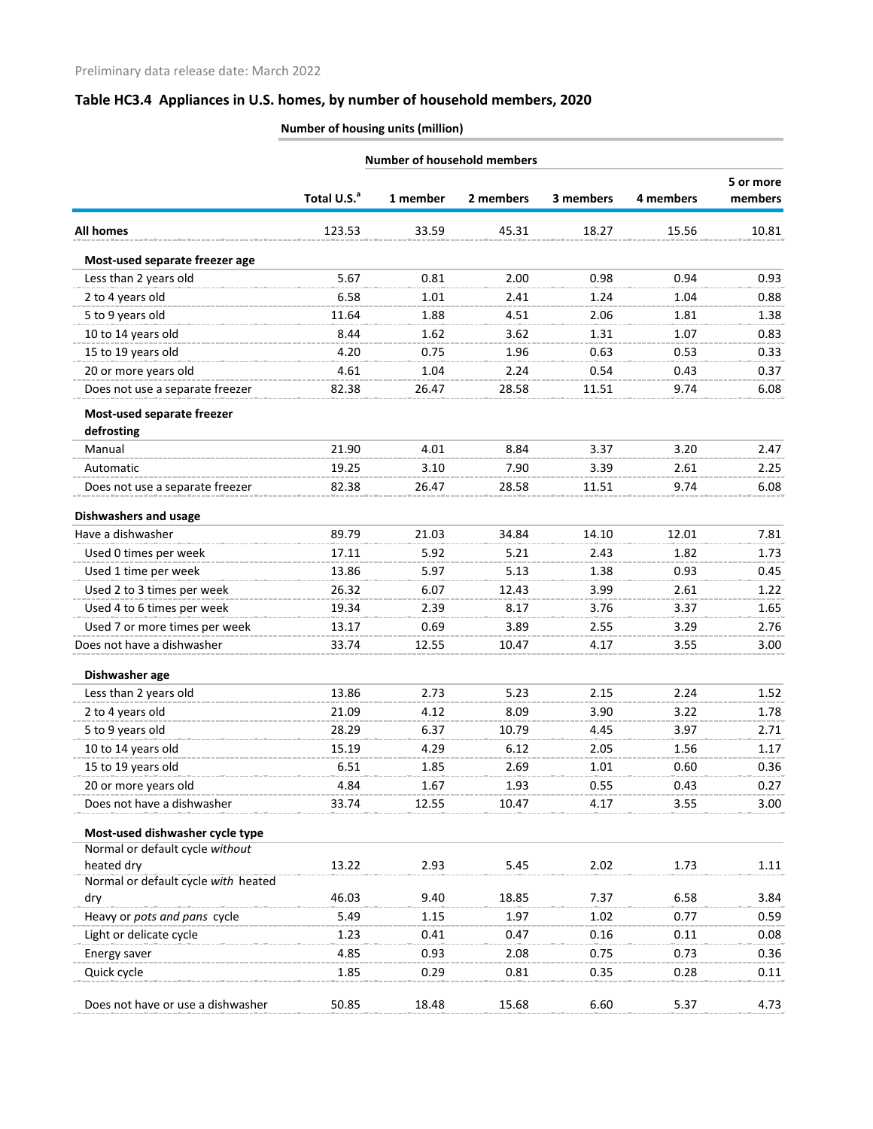| <b>Number of household members</b>  |                         |          |               |           |              |                      |
|-------------------------------------|-------------------------|----------|---------------|-----------|--------------|----------------------|
|                                     | Total U.S. <sup>a</sup> | 1 member | 2 members     | 3 members | 4 members    | 5 or more<br>members |
| <b>All homes</b>                    | 123.53                  | 33.59    | 45.31         | 18.27     | 15.56        | 10.81                |
|                                     |                         |          |               |           |              |                      |
| Most-used separate freezer age      |                         |          |               |           |              |                      |
| Less than 2 years old               | 5.67                    | 0.81     | 2.00          | 0.98      | 0.94         | 0.93                 |
| 2 to 4 years old                    | 6.58                    | 1.01     | 2.41          | 1.24      | 1.04         | 0.88                 |
| 5 to 9 years old                    | 11.64                   | 1.88     | 4.51          | 2.06      | 1.81         | 1.38                 |
| 10 to 14 years old                  | 8.44                    | 1.62     | 3.62          | 1.31      | 1.07         | 0.83                 |
| 15 to 19 years old                  | 4.20                    | 0.75     | 1.96          | 0.63      | 0.53         | 0.33                 |
| 20 or more years old                | 4.61                    | 1.04     | 2.24          | 0.54      | 0.43         | 0.37                 |
| Does not use a separate freezer     | 82.38                   | 26.47    | 28.58         | 11.51     | 9.74         | 6.08                 |
| Most-used separate freezer          |                         |          |               |           |              |                      |
| defrosting                          |                         |          |               |           |              | 2.47                 |
| Manual                              | 21.90                   | 4.01     | 8.84          | 3.37      | 3.20         |                      |
| Automatic                           | 19.25<br>82.38          | 3.10     | 7.90<br>28.58 | 3.39      | 2.61<br>9.74 | 2.25                 |
| Does not use a separate freezer     |                         | 26.47    |               | 11.51     |              | 6.08                 |
| <b>Dishwashers and usage</b>        |                         |          |               |           |              |                      |
| Have a dishwasher                   | 89.79                   | 21.03    | 34.84         | 14.10     | 12.01        | 7.81                 |
| Used 0 times per week               | 17.11                   | 5.92     | 5.21          | 2.43      | 1.82         | 1.73                 |
| Used 1 time per week                | 13.86                   | 5.97     | 5.13          | 1.38      | 0.93         | 0.45                 |
| Used 2 to 3 times per week          | 26.32                   | 6.07     | 12.43         | 3.99      | 2.61         | 1.22                 |
| Used 4 to 6 times per week          | 19.34                   | 2.39     | 8.17          | 3.76      | 3.37         | 1.65                 |
| Used 7 or more times per week       | 13.17                   | 0.69     | 3.89          | 2.55      | 3.29         | 2.76                 |
| Does not have a dishwasher          | 33.74                   | 12.55    | 10.47         | 4.17      | 3.55         | 3.00                 |
| Dishwasher age                      |                         |          |               |           |              |                      |
| Less than 2 years old               | 13.86                   | 2.73     | 5.23          | 2.15      | 2.24         | 1.52                 |
| 2 to 4 years old                    | 21.09                   | 4.12     | 8.09          | 3.90      | 3.22         | 1.78                 |
| 5 to 9 years old                    | 28.29                   | 6.37     | 10.79         | 4.45      | 3.97         | 2.71                 |
| 10 to 14 years old                  | 15.19                   | 4.29     | 6.12          | 2.05      | 1.56         | 1.17                 |
| 15 to 19 years old                  | 6.51                    | 1.85     | 2.69          | 1.01      | 0.60         | 0.36                 |
| 20 or more years old                | 4.84                    | 1.67     | 1.93          | 0.55      | 0.43         | 0.27                 |
| Does not have a dishwasher          | 33.74                   | 12.55    | 10.47         | 4.17      | 3.55         | 3.00                 |
| Most-used dishwasher cycle type     |                         |          |               |           |              |                      |
| Normal or default cycle without     |                         |          |               |           |              |                      |
| heated dry                          | 13.22                   | 2.93     | 5.45          | 2.02      | 1.73         | 1.11                 |
| Normal or default cycle with heated |                         |          |               |           |              |                      |
| dry                                 | 46.03                   | 9.40     | 18.85         | 7.37      | 6.58         | 3.84                 |
| Heavy or pots and pans cycle        | 5.49                    | 1.15     | 1.97          | 1.02      | 0.77         | 0.59                 |
| Light or delicate cycle             | 1.23                    | 0.41     | 0.47          | 0.16      | 0.11         | 0.08                 |
| Energy saver                        | 4.85                    | 0.93     | 2.08          | 0.75      | 0.73         | 0.36                 |
| Quick cycle                         | 1.85                    | 0.29     | 0.81          | 0.35      | 0.28         | 0.11                 |
| Does not have or use a dishwasher   | 50.85                   | 18.48    | 15.68         | 6.60      | 5.37         | 4.73                 |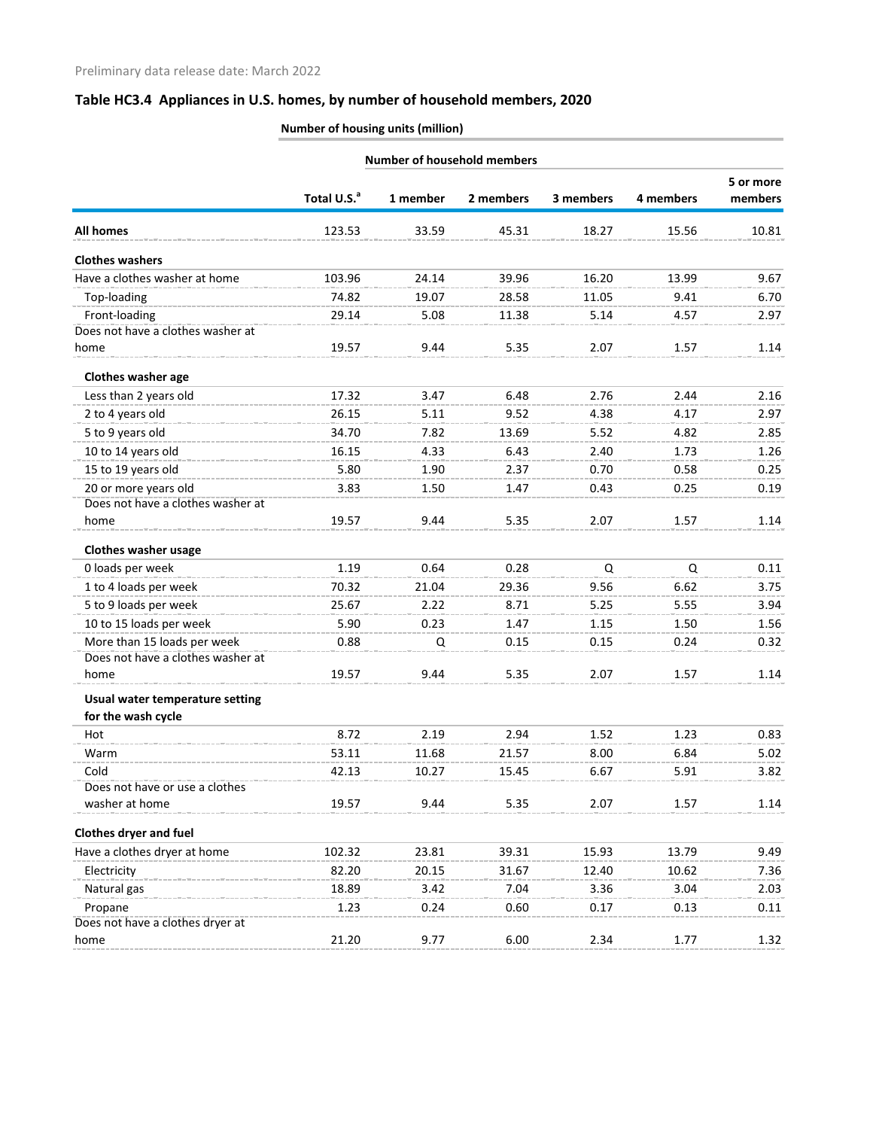|                                                  |                         |          | <b>Number of household members</b> |           |           |                      |
|--------------------------------------------------|-------------------------|----------|------------------------------------|-----------|-----------|----------------------|
|                                                  | Total U.S. <sup>a</sup> | 1 member | 2 members                          | 3 members | 4 members | 5 or more<br>members |
| <b>All homes</b>                                 | 123.53                  | 33.59    | 45.31                              | 18.27     | 15.56     | 10.81                |
| <b>Clothes washers</b>                           |                         |          |                                    |           |           |                      |
| Have a clothes washer at home                    | 103.96                  | 24.14    | 39.96                              | 16.20     | 13.99     | 9.67                 |
| Top-loading                                      | 74.82                   | 19.07    | 28.58                              | 11.05     | 9.41      | 6.70                 |
| Front-loading                                    | 29.14                   | 5.08     | 11.38                              | 5.14      | 4.57      | 2.97                 |
| Does not have a clothes washer at                |                         |          |                                    |           |           |                      |
| home                                             | 19.57                   | 9.44     | 5.35                               | 2.07      | 1.57      | 1.14                 |
| <b>Clothes washer age</b>                        |                         |          |                                    |           |           |                      |
| Less than 2 years old                            | 17.32                   | 3.47     | 6.48                               | 2.76      | 2.44      | 2.16                 |
| 2 to 4 years old                                 | 26.15                   | 5.11     | 9.52                               | 4.38      | 4.17      | 2.97                 |
| 5 to 9 years old                                 | 34.70                   | 7.82     | 13.69                              | 5.52      | 4.82      | 2.85                 |
| 10 to 14 years old                               | 16.15                   | 4.33     | 6.43                               | 2.40      | 1.73      | 1.26                 |
| 15 to 19 years old                               | 5.80                    | 1.90     | 2.37                               | 0.70      | 0.58      | 0.25                 |
| 20 or more years old                             | 3.83                    | 1.50     | 1.47                               | 0.43      | 0.25      | 0.19                 |
| Does not have a clothes washer at                |                         |          |                                    |           |           |                      |
| home                                             | 19.57                   | 9.44     | 5.35                               | 2.07      | 1.57      | 1.14                 |
| <b>Clothes washer usage</b>                      |                         |          |                                    |           |           |                      |
| 0 loads per week                                 | 1.19                    | 0.64     | 0.28                               | Q         | Q         | 0.11                 |
| 1 to 4 loads per week                            | 70.32                   | 21.04    | 29.36                              | 9.56      | 6.62      | 3.75                 |
| 5 to 9 loads per week                            | 25.67                   | 2.22     | 8.71                               | 5.25      | 5.55      | 3.94                 |
| 10 to 15 loads per week                          | 5.90                    | 0.23     | 1.47                               | 1.15      | 1.50      | 1.56                 |
| More than 15 loads per week                      | 0.88                    | Q        | 0.15                               | 0.15      | 0.24      | 0.32                 |
| Does not have a clothes washer at                |                         |          |                                    |           |           |                      |
| home                                             | 19.57                   | 9.44     | 5.35                               | 2.07      | 1.57      | 1.14                 |
| Usual water temperature setting                  |                         |          |                                    |           |           |                      |
| for the wash cycle                               |                         |          |                                    |           |           |                      |
| Hot                                              | 8.72                    | 2.19     | 2.94                               | 1.52      | 1.23      | 0.83                 |
| Warm                                             | 53.11                   | 11.68    | 21.57                              | 8.00      | 6.84      | 5.02                 |
| Cold                                             | 42.13                   | 10.27    | 15.45                              | 6.67      | 5.91      | 3.82                 |
| Does not have or use a clothes<br>washer at home | 19.57                   | 9.44     | 5.35                               | 2.07      | 1.57      | 1.14                 |
|                                                  |                         |          |                                    |           |           |                      |
| <b>Clothes dryer and fuel</b>                    |                         |          |                                    |           |           |                      |
| Have a clothes dryer at home                     | 102.32                  | 23.81    | 39.31                              | 15.93     | 13.79     | 9.49                 |
| Electricity                                      | 82.20                   | 20.15    | 31.67                              | 12.40     | 10.62     | 7.36                 |
| Natural gas                                      | 18.89                   | 3.42     | 7.04                               | 3.36      | 3.04      | 2.03                 |
| Propane                                          | 1.23                    | 0.24     | 0.60                               | 0.17      | 0.13      | 0.11                 |
| Does not have a clothes dryer at                 |                         |          |                                    |           |           |                      |
| home                                             | 21.20                   | 9.77     | 6.00                               | 2.34      | 1.77      | 1.32                 |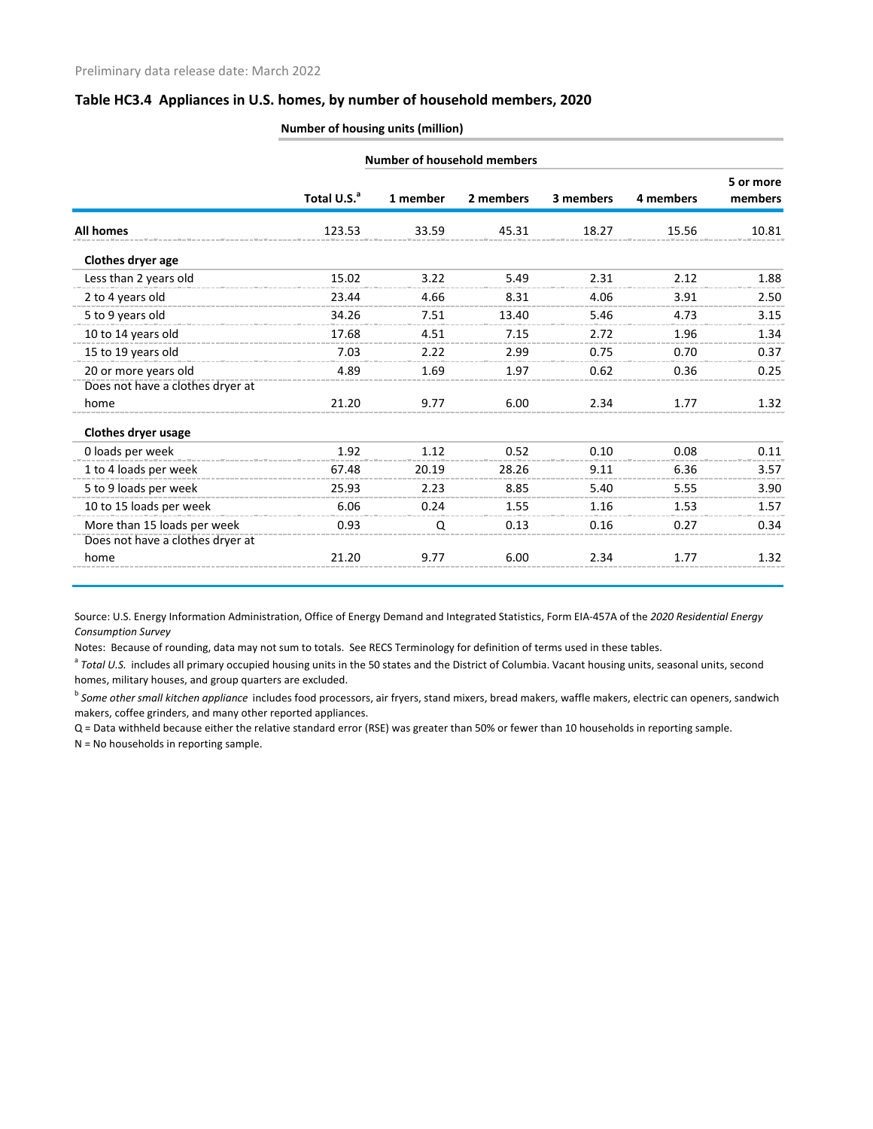#### **Number of housing units (million)**

|                                  | <b>Number of household members</b> |          |           |           |           |                      |
|----------------------------------|------------------------------------|----------|-----------|-----------|-----------|----------------------|
|                                  | Total U.S. <sup>a</sup>            | 1 member | 2 members | 3 members | 4 members | 5 or more<br>members |
| <b>All homes</b>                 | 123.53                             | 33.59    | 45.31     | 18.27     | 15.56     | 10.81                |
| Clothes dryer age                |                                    |          |           |           |           |                      |
| Less than 2 years old            | 15.02                              | 3.22     | 5.49      | 2.31      | 2.12      | 1.88                 |
| 2 to 4 years old                 | 23.44                              | 4.66     | 8.31      | 4.06      | 3.91      | 2.50                 |
| 5 to 9 years old                 | 34.26                              | 7.51     | 13.40     | 5.46      | 4.73      | 3.15                 |
| 10 to 14 years old               | 17.68                              | 4.51     | 7.15      | 2.72      | 1.96      | 1.34                 |
| 15 to 19 years old               | 7.03                               | 2.22     | 2.99      | 0.75      | 0.70      | 0.37                 |
| 20 or more years old             | 4.89                               | 1.69     | 1.97      | 0.62      | 0.36      | 0.25                 |
| Does not have a clothes dryer at |                                    |          |           |           |           |                      |
| home                             | 21.20                              | 9.77     | 6.00      | 2.34      | 1.77      | 1.32                 |
| <b>Clothes dryer usage</b>       |                                    |          |           |           |           |                      |
| 0 loads per week                 | 1.92                               | 1.12     | 0.52      | 0.10      | 0.08      | 0.11                 |
| 1 to 4 loads per week            | 67.48                              | 20.19    | 28.26     | 9.11      | 6.36      | 3.57                 |
| 5 to 9 loads per week            | 25.93                              | 2.23     | 8.85      | 5.40      | 5.55      | 3.90                 |
| 10 to 15 loads per week          | 6.06                               | 0.24     | 1.55      | 1.16      | 1.53      | 1.57                 |
| More than 15 loads per week      | 0.93                               | Q        | 0.13      | 0.16      | 0.27      | 0.34                 |
| Does not have a clothes dryer at |                                    |          |           |           |           |                      |
| home                             | 21.20                              | 9.77     | 6.00      | 2.34      | 1.77      | 1.32                 |

Source: U.S. Energy Information Administration, Office of Energy Demand and Integrated Statistics, Form EIA-457A of the *2020 Residential Energy Consumption Survey*

Notes: Because of rounding, data may not sum to totals. See RECS Terminology for definition of terms used in these tables.

<sup>a</sup> Total U.S. includes all primary occupied housing units in the 50 states and the District of Columbia. Vacant housing units, seasonal units, second homes, military houses, and group quarters are excluded.

<sup>b</sup> *Some other small kitchen appliance* includes food processors, air fryers, stand mixers, bread makers, waffle makers, electric can openers, sandwich makers, coffee grinders, and many other reported appliances.

Q = Data withheld because either the relative standard error (RSE) was greater than 50% or fewer than 10 households in reporting sample.

N = No households in reporting sample.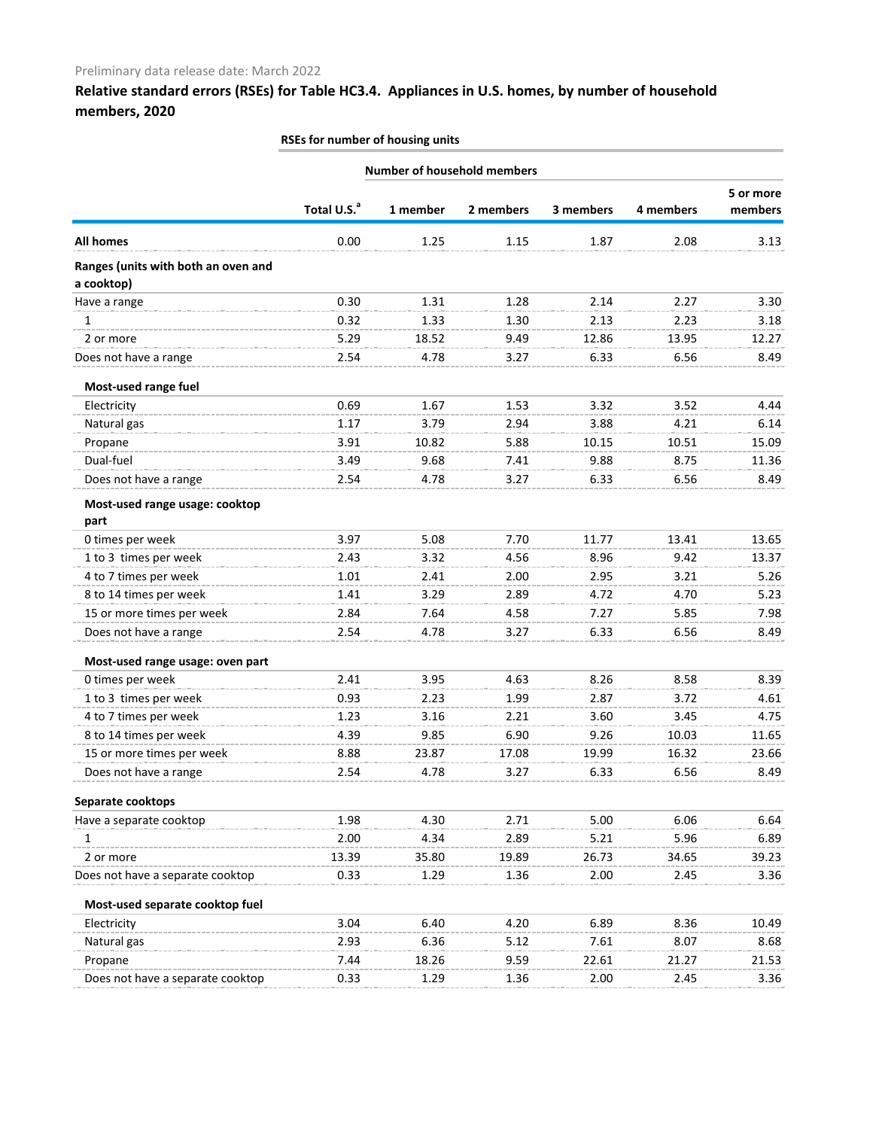## **Relative standard errors (RSEs) for Table HC3.4. Appliances in U.S. homes, by number of household members, 2020**

|                                                   | Number of household members |          |           |           |           |         |  |  |
|---------------------------------------------------|-----------------------------|----------|-----------|-----------|-----------|---------|--|--|
|                                                   |                             |          |           |           |           |         |  |  |
|                                                   | Total U.S. <sup>a</sup>     | 1 member | 2 members | 3 members | 4 members | members |  |  |
| All homes                                         | 0.00                        | 1.25     | 1.15      | 1.87      | 2.08      | 3.13    |  |  |
| Ranges (units with both an oven and<br>a cooktop) |                             |          |           |           |           |         |  |  |
| Have a range                                      | 0.30                        | 1.31     | 1.28      | 2.14      | 2.27      | 3.30    |  |  |
| $\mathbf{1}$                                      | 0.32                        | 1.33     | 1.30      | 2.13      | 2.23      | 3.18    |  |  |
| 2 or more                                         | 5.29                        | 18.52    | 9.49      | 12.86     | 13.95     | 12.27   |  |  |
| Does not have a range                             | 2.54                        | 4.78     | 3.27      | 6.33      | 6.56      | 8.49    |  |  |
| Most-used range fuel                              |                             |          |           |           |           |         |  |  |
| Electricity                                       | 0.69                        | 1.67     | 1.53      | 3.32      | 3.52      | 4.44    |  |  |
| Natural gas                                       | 1.17                        | 3.79     | 2.94      | 3.88      | 4.21      | 6.14    |  |  |
| Propane                                           | 3.91                        | 10.82    | 5.88      | 10.15     | 10.51     | 15.09   |  |  |
| Dual-fuel                                         | 3.49                        | 9.68     | 7.41      | 9.88      | 8.75      | 11.36   |  |  |
| Does not have a range                             | 2.54                        | 4.78     | 3.27      | 6.33      | 6.56      | 8.49    |  |  |
| Most-used range usage: cooktop                    |                             |          |           |           |           |         |  |  |
| part                                              |                             |          |           |           |           |         |  |  |
| 0 times per week                                  | 3.97                        | 5.08     | 7.70      | 11.77     | 13.41     | 13.65   |  |  |
| 1 to 3 times per week                             | 2.43                        | 3.32     | 4.56      | 8.96      | 9.42      | 13.37   |  |  |
| 4 to 7 times per week                             | 1.01                        | 2.41     | 2.00      | 2.95      | 3.21      | 5.26    |  |  |
| 8 to 14 times per week                            | 1.41                        | 3.29     | 2.89      | 4.72      | 4.70      | 5.23    |  |  |
| 15 or more times per week                         | 2.84                        | 7.64     | 4.58      | 7.27      | 5.85      | 7.98    |  |  |
| Does not have a range                             | 2.54                        | 4.78     | 3.27      | 6.33      | 6.56      | 8.49    |  |  |
| Most-used range usage: oven part                  |                             |          |           |           |           |         |  |  |
| 0 times per week                                  | 2.41                        | 3.95     | 4.63      | 8.26      | 8.58      | 8.39    |  |  |
| 1 to 3 times per week                             | 0.93                        | 2.23     | 1.99      | 2.87      | 3.72      | 4.61    |  |  |
| 4 to 7 times per week                             | 1.23                        | 3.16     | 2.21      | 3.60      | 3.45      | 4.75    |  |  |
| 8 to 14 times per week                            | 4.39                        | 9.85     | 6.90      | 9.26      | 10.03     | 11.65   |  |  |
| 15 or more times per week                         | 8.88                        | 23.87    | 17.08     | 19.99     | 16.32     | 23.66   |  |  |
| Does not have a range                             | 2.54                        | 4.78     | 3.27      | 6.33      | 6.56      | 8.49    |  |  |
| Separate cooktops                                 |                             |          |           |           |           |         |  |  |
| Have a separate cooktop                           | 1.98                        | 4.30     | 2.71      | 5.00      | 6.06      | 6.64    |  |  |
| 1                                                 | 2.00                        | 4.34     | 2.89      | 5.21      | 5.96      | 6.89    |  |  |
| 2 or more                                         | 13.39                       | 35.80    | 19.89     | 26.73     | 34.65     | 39.23   |  |  |
| Does not have a separate cooktop                  | 0.33                        | 1.29     | 1.36      | 2.00      | 2.45      | 3.36    |  |  |
| Most-used separate cooktop fuel                   |                             |          |           |           |           |         |  |  |
| Electricity                                       | 3.04                        | 6.40     | 4.20      | 6.89      | 8.36      | 10.49   |  |  |
| Natural gas                                       | 2.93                        | 6.36     | 5.12      | 7.61      | 8.07      | 8.68    |  |  |
| Propane                                           | 7.44                        | 18.26    | 9.59      | 22.61     | 21.27     | 21.53   |  |  |
| Does not have a separate cooktop                  | 0.33                        | 1.29     | 1.36      | 2.00      | 2.45      | 3.36    |  |  |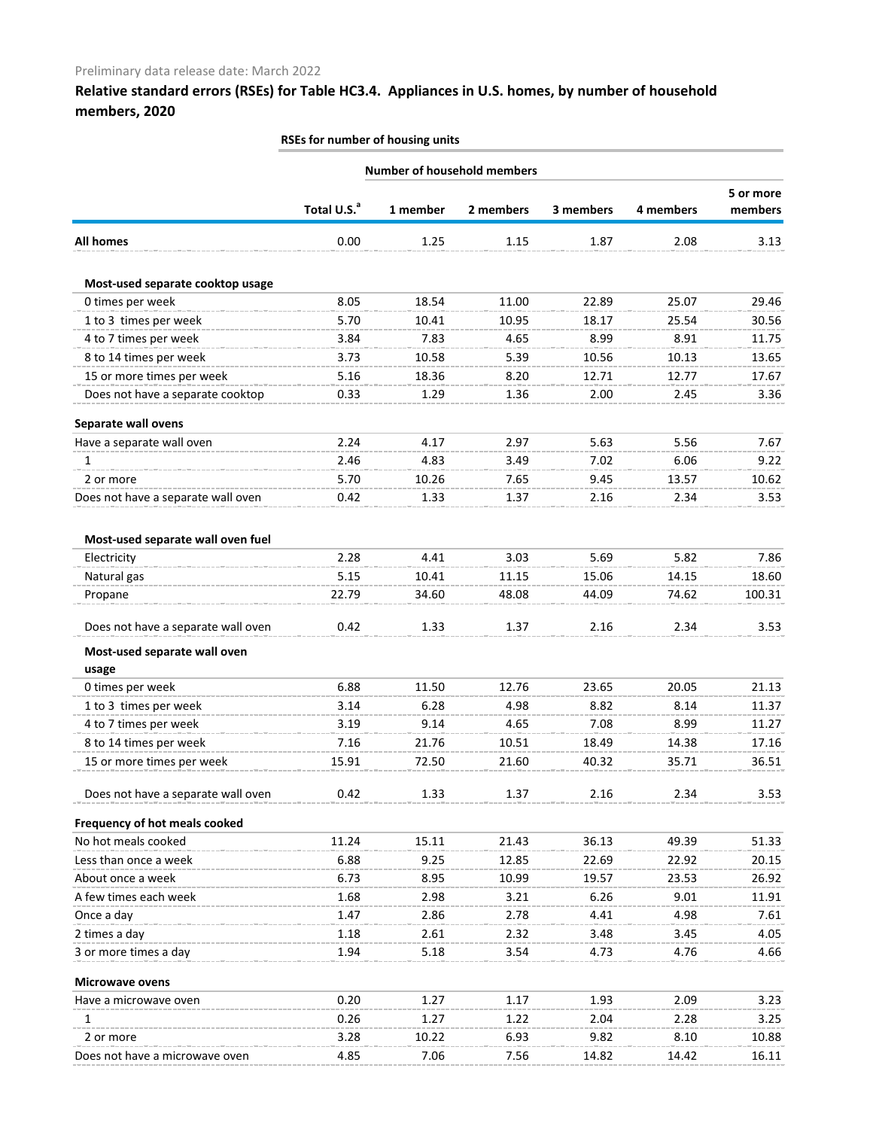## **Relative standard errors (RSEs) for Table HC3.4. Appliances in U.S. homes, by number of household members, 2020**

|                                    |                         | <b>Number of household members</b> |           |           |           |                      |
|------------------------------------|-------------------------|------------------------------------|-----------|-----------|-----------|----------------------|
|                                    |                         |                                    |           |           | 4 members | 5 or more<br>members |
|                                    | Total U.S. <sup>a</sup> | 1 member                           | 2 members | 3 members |           |                      |
| <b>All homes</b>                   | 0.00                    | 1.25                               | 1.15      | 1.87      | 2.08      | 3.13                 |
| Most-used separate cooktop usage   |                         |                                    |           |           |           |                      |
| 0 times per week                   | 8.05                    | 18.54                              | 11.00     | 22.89     | 25.07     | 29.46                |
| 1 to 3 times per week              | 5.70                    | 10.41                              | 10.95     | 18.17     | 25.54     | 30.56                |
| 4 to 7 times per week              | 3.84                    | 7.83                               | 4.65      | 8.99      | 8.91      | 11.75                |
| 8 to 14 times per week             | 3.73                    | 10.58                              | 5.39      | 10.56     | 10.13     | 13.65                |
| 15 or more times per week          | 5.16                    | 18.36                              | 8.20      | 12.71     | 12.77     | 17.67                |
| Does not have a separate cooktop   | 0.33                    | 1.29                               | 1.36      | 2.00      | 2.45      | 3.36                 |
| Separate wall ovens                |                         |                                    |           |           |           |                      |
| Have a separate wall oven          | 2.24                    | 4.17                               | 2.97      | 5.63      | 5.56      | 7.67                 |
| 1                                  | 2.46                    | 4.83                               | 3.49      | 7.02      | 6.06      | 9.22                 |
| 2 or more                          | 5.70                    | 10.26                              | 7.65      | 9.45      | 13.57     | 10.62                |
| Does not have a separate wall oven | 0.42                    | 1.33                               | 1.37      | 2.16      | 2.34      | 3.53                 |
| Most-used separate wall oven fuel  |                         |                                    |           |           |           |                      |
| Electricity                        | 2.28                    | 4.41                               | 3.03      | 5.69      | 5.82      | 7.86                 |
| Natural gas                        | 5.15                    | 10.41                              | 11.15     | 15.06     | 14.15     | 18.60                |
| Propane                            | 22.79                   | 34.60                              | 48.08     | 44.09     | 74.62     | 100.31               |
| Does not have a separate wall oven | 0.42                    | 1.33                               | 1.37      | 2.16      | 2.34      | 3.53                 |
| Most-used separate wall oven       |                         |                                    |           |           |           |                      |
| usage                              |                         |                                    |           |           |           |                      |
| 0 times per week                   | 6.88                    | 11.50                              | 12.76     | 23.65     | 20.05     | 21.13                |
| 1 to 3 times per week              | 3.14                    | 6.28                               | 4.98      | 8.82      | 8.14      | 11.37                |
| 4 to 7 times per week              | 3.19                    | 9.14                               | 4.65      | 7.08      | 8.99      | 11.27                |
| 8 to 14 times per week             | 7.16                    | 21.76                              | 10.51     | 18.49     | 14.38     | 17.16                |
| 15 or more times per week          | 15.91                   | 72.50                              | 21.60     | 40.32     | 35.71     | 36.51                |
|                                    |                         |                                    |           |           |           |                      |
| Does not have a separate wall oven | 0.42                    | 1.33                               | 1.37      | 2.16      | 2.34      | 3.53                 |
| Frequency of hot meals cooked      |                         |                                    |           |           |           |                      |
| No hot meals cooked                | 11.24                   | 15.11                              | 21.43     | 36.13     | 49.39     | 51.33                |
| Less than once a week              | 6.88                    | 9.25                               | 12.85     | 22.69     | 22.92     | 20.15                |
| About once a week                  | 6.73                    | 8.95                               | 10.99     | 19.57     | 23.53     | 26.92                |
| A few times each week              | 1.68                    | 2.98                               | 3.21      | 6.26      | 9.01      | 11.91                |
| Once a day                         | 1.47                    | 2.86                               | 2.78      | 4.41      | 4.98      | 7.61                 |
| 2 times a day                      | 1.18                    | 2.61                               | 2.32      | 3.48      | 3.45      | 4.05                 |
| 3 or more times a day              | 1.94                    | 5.18                               | 3.54      | 4.73      | 4.76      | 4.66                 |
| <b>Microwave ovens</b>             |                         |                                    |           |           |           |                      |
| Have a microwave oven              | 0.20                    | 1.27                               | 1.17      | 1.93      | 2.09      | 3.23                 |
| 1                                  | 0.26                    | 1.27                               | 1.22      | 2.04      | 2.28      | 3.25                 |
| 2 or more                          | 3.28                    | 10.22                              | 6.93      | 9.82      | 8.10      | 10.88                |
| Does not have a microwave oven     | 4.85                    | 7.06                               | 7.56      | 14.82     | 14.42     | 16.11                |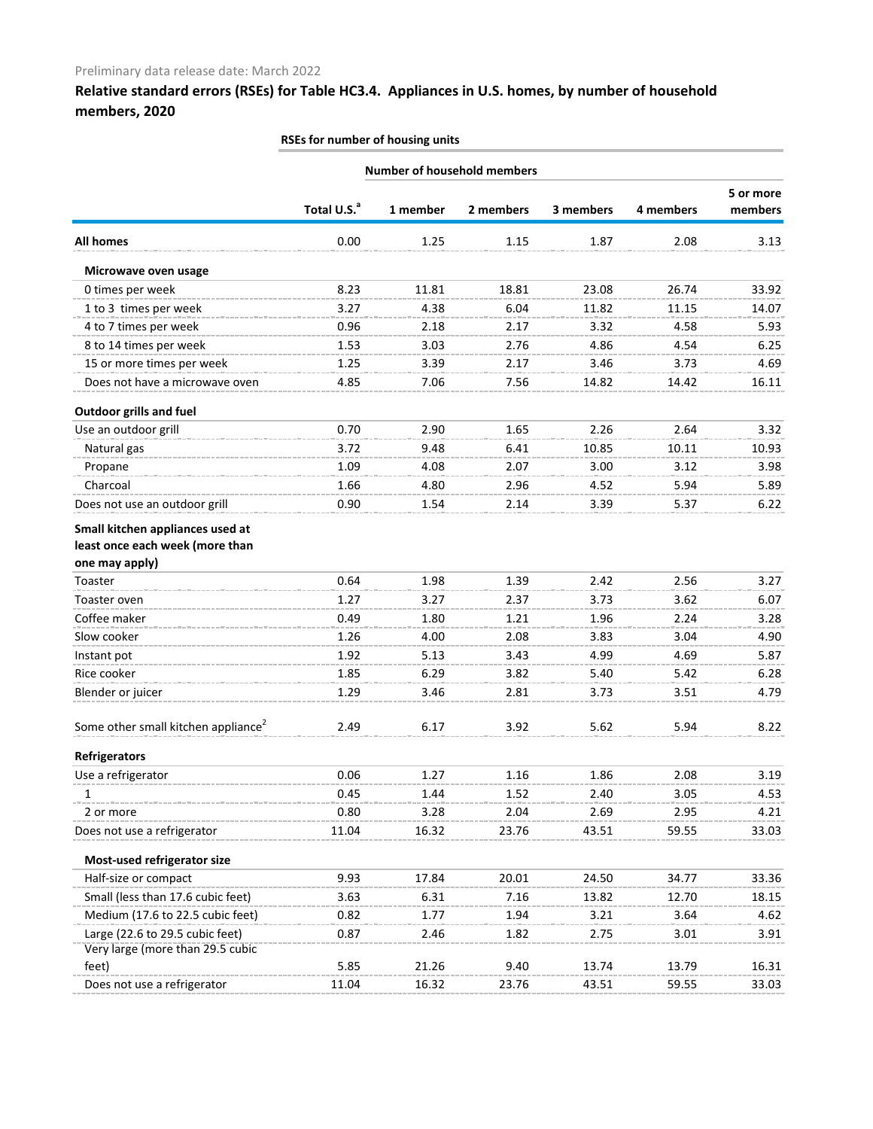# **Relative standard errors (RSEs) for Table HC3.4. Appliances in U.S. homes, by number of household members, 2020**

|                                                                                       | RSEs for number of housing units |          |                                    |           |           |                      |
|---------------------------------------------------------------------------------------|----------------------------------|----------|------------------------------------|-----------|-----------|----------------------|
|                                                                                       |                                  |          | <b>Number of household members</b> |           |           |                      |
|                                                                                       | Total U.S. <sup>a</sup>          | 1 member | 2 members                          | 3 members | 4 members | 5 or more<br>members |
| <b>All homes</b>                                                                      | 0.00                             | 1.25     | 1.15                               | 1.87      | 2.08      | 3.13                 |
| Microwave oven usage                                                                  |                                  |          |                                    |           |           |                      |
| 0 times per week                                                                      | 8.23                             | 11.81    | 18.81                              | 23.08     | 26.74     | 33.92                |
| 1 to 3 times per week                                                                 | 3.27                             | 4.38     | 6.04                               | 11.82     | 11.15     | 14.07                |
| 4 to 7 times per week                                                                 | 0.96                             | 2.18     | 2.17                               | 3.32      | 4.58      | 5.93                 |
| 8 to 14 times per week                                                                | 1.53                             | 3.03     | 2.76                               | 4.86      | 4.54      | 6.25                 |
| 15 or more times per week                                                             | 1.25                             | 3.39     | 2.17                               | 3.46      | 3.73      | 4.69                 |
| Does not have a microwave oven                                                        | 4.85                             | 7.06     | 7.56                               | 14.82     | 14.42     | 16.11                |
| <b>Outdoor grills and fuel</b>                                                        |                                  |          |                                    |           |           |                      |
| Use an outdoor grill                                                                  | 0.70                             | 2.90     | 1.65                               | 2.26      | 2.64      | 3.32                 |
| Natural gas                                                                           | 3.72                             | 9.48     | 6.41                               | 10.85     | 10.11     | 10.93                |
| Propane                                                                               | 1.09                             | 4.08     | 2.07                               | 3.00      | 3.12      | 3.98                 |
| Charcoal                                                                              | 1.66                             | 4.80     | 2.96                               | 4.52      | 5.94      | 5.89                 |
| Does not use an outdoor grill                                                         | 0.90                             | 1.54     | 2.14                               | 3.39      | 5.37      | 6.22                 |
| Small kitchen appliances used at<br>least once each week (more than<br>one may apply) |                                  |          |                                    |           |           |                      |
| Toaster                                                                               | 0.64                             | 1.98     | 1.39                               | 2.42      | 2.56      | 3.27                 |
| Toaster oven                                                                          | 1.27                             | 3.27     | 2.37                               | 3.73      | 3.62      | 6.07                 |
| Coffee maker                                                                          | 0.49                             | 1.80     | 1.21                               | 1.96      | 2.24      | 3.28                 |
| Slow cooker                                                                           | 1.26                             | 4.00     | 2.08                               | 3.83      | 3.04      | 4.90                 |
| Instant pot                                                                           | 1.92                             | 5.13     | 3.43                               | 4.99      | 4.69      | 5.87                 |
| Rice cooker                                                                           | 1.85                             | 6.29     | 3.82                               | 5.40      | 5.42      | 6.28                 |
| Blender or juicer                                                                     | 1.29                             | 3.46     | 2.81                               | 3.73      | 3.51      | 4.79                 |
| Some other small kitchen appliance <sup>2</sup>                                       | 2.49                             | 6.17     | 3.92                               | 5.62      | 5.94      | 8.22                 |
| <b>Refrigerators</b>                                                                  |                                  |          |                                    |           |           |                      |
| Use a refrigerator                                                                    | 0.06                             | 1.27     | 1.16                               | 1.86      | 2.08      | 3.19                 |
| 1                                                                                     | 0.45                             | 1.44     | 1.52                               | 2.40      | 3.05      | 4.53                 |
| 2 or more                                                                             | 0.80                             | 3.28     | 2.04                               | 2.69      | 2.95      | 4.21                 |
| Does not use a refrigerator                                                           | 11.04                            | 16.32    | 23.76                              | 43.51     | 59.55     | 33.03                |
| Most-used refrigerator size                                                           |                                  |          |                                    |           |           |                      |
| Half-size or compact                                                                  | 9.93                             | 17.84    | 20.01                              | 24.50     | 34.77     | 33.36                |
| Small (less than 17.6 cubic feet)                                                     | 3.63                             | 6.31     | 7.16                               | 13.82     | 12.70     | 18.15                |
| Medium (17.6 to 22.5 cubic feet)                                                      | 0.82                             | 1.77     | 1.94                               | 3.21      | 3.64      | 4.62                 |
| Large (22.6 to 29.5 cubic feet)<br>Very large (more than 29.5 cubic                   | 0.87                             | 2.46     | 1.82                               | 2.75      | 3.01      | 3.91                 |
| feet)                                                                                 | 5.85                             | 21.26    | 9.40                               | 13.74     | 13.79     | 16.31                |
| Does not use a refrigerator                                                           | 11.04                            | 16.32    | 23.76                              | 43.51     | 59.55     | 33.03                |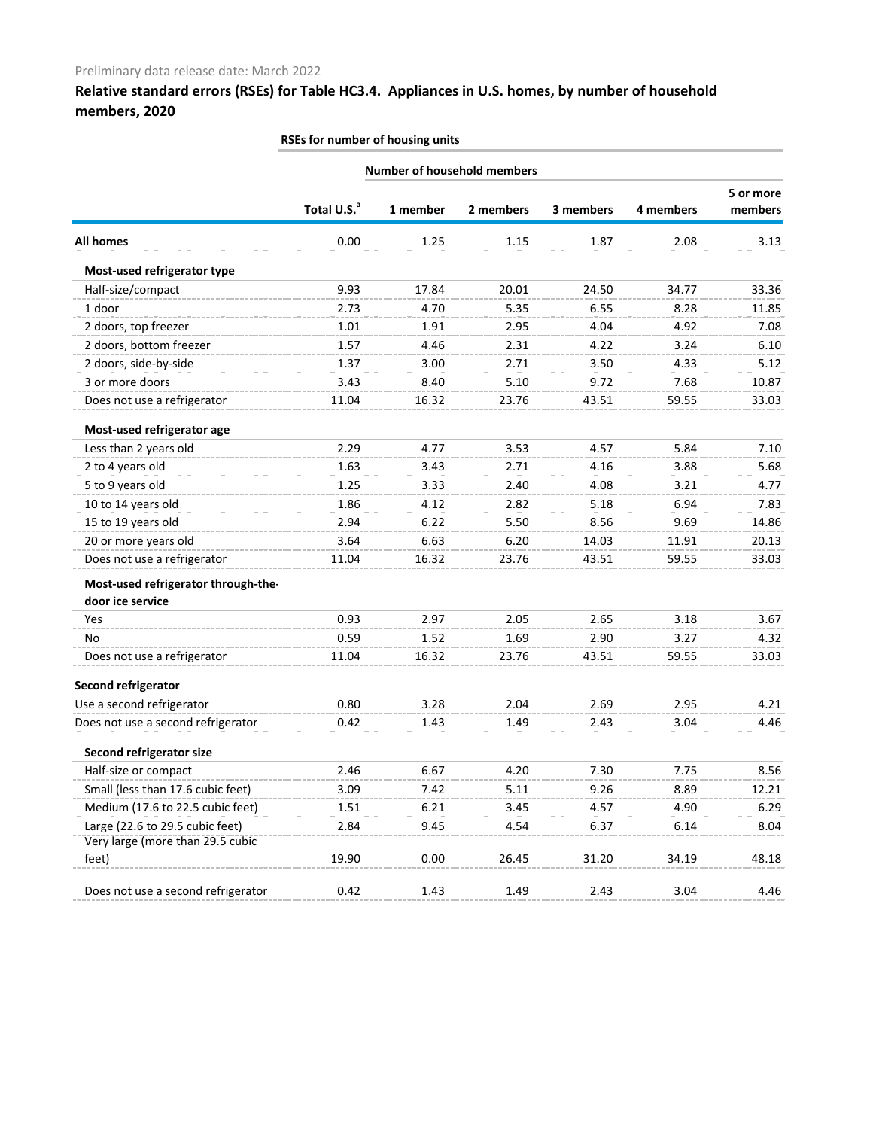## **Relative standard errors (RSEs) for Table HC3.4. Appliances in U.S. homes, by number of household members, 2020**

| RSEs for number of housing units                        |                                    |          |           |           |           |                      |
|---------------------------------------------------------|------------------------------------|----------|-----------|-----------|-----------|----------------------|
|                                                         | <b>Number of household members</b> |          |           |           |           |                      |
|                                                         | Total U.S. <sup>a</sup>            | 1 member | 2 members | 3 members | 4 members | 5 or more<br>members |
| All homes                                               | 0.00                               | 1.25     | 1.15      | 1.87      | 2.08      | 3.13                 |
| Most-used refrigerator type                             |                                    |          |           |           |           |                      |
| Half-size/compact                                       | 9.93                               | 17.84    | 20.01     | 24.50     | 34.77     | 33.36                |
| 1 door                                                  | 2.73                               | 4.70     | 5.35      | 6.55      | 8.28      | 11.85                |
| 2 doors, top freezer                                    | 1.01                               | 1.91     | 2.95      | 4.04      | 4.92      | 7.08                 |
| 2 doors, bottom freezer                                 | 1.57                               | 4.46     | 2.31      | 4.22      | 3.24      | 6.10                 |
| 2 doors, side-by-side                                   | 1.37                               | 3.00     | 2.71      | 3.50      | 4.33      | 5.12                 |
| 3 or more doors                                         | 3.43                               | 8.40     | 5.10      | 9.72      | 7.68      | 10.87                |
| Does not use a refrigerator                             | 11.04                              | 16.32    | 23.76     | 43.51     | 59.55     | 33.03                |
| Most-used refrigerator age                              |                                    |          |           |           |           |                      |
| Less than 2 years old                                   | 2.29                               | 4.77     | 3.53      | 4.57      | 5.84      | 7.10                 |
| 2 to 4 years old                                        | 1.63                               | 3.43     | 2.71      | 4.16      | 3.88      | 5.68                 |
| 5 to 9 years old                                        | 1.25                               | 3.33     | 2.40      | 4.08      | 3.21      | 4.77                 |
| 10 to 14 years old                                      | 1.86                               | 4.12     | 2.82      | 5.18      | 6.94      | 7.83                 |
| 15 to 19 years old                                      | 2.94                               | 6.22     | 5.50      | 8.56      | 9.69      | 14.86                |
| 20 or more years old                                    | 3.64                               | 6.63     | 6.20      | 14.03     | 11.91     | 20.13                |
| Does not use a refrigerator                             | 11.04                              | 16.32    | 23.76     | 43.51     | 59.55     | 33.03                |
| Most-used refrigerator through-the-<br>door ice service |                                    |          |           |           |           |                      |
| Yes                                                     | 0.93                               | 2.97     | 2.05      | 2.65      | 3.18      | 3.67                 |
| <b>No</b>                                               | 0.59                               | 1.52     | 1.69      | 2.90      | 3.27      | 4.32                 |
| Does not use a refrigerator                             | 11.04                              | 16.32    | 23.76     | 43.51     | 59.55     | 33.03                |
| Second refrigerator                                     |                                    |          |           |           |           |                      |
| Use a second refrigerator                               | 0.80                               | 3.28     | 2.04      | 2.69      | 2.95      | 4.21                 |
| Does not use a second refrigerator                      | 0.42                               | 1.43     | 1.49      | 2.43      | 3.04      | 4.46                 |
| <b>Second refrigerator size</b>                         |                                    |          |           |           |           |                      |
| Half-size or compact                                    | 2.46                               | 6.67     | 4.20      | 7.30      | 7.75      | 8.56                 |
| Small (less than 17.6 cubic feet)                       | 3.09                               | 7.42     | 5.11      | 9.26      | 8.89      | 12.21                |
| Medium (17.6 to 22.5 cubic feet)                        | 1.51                               | 6.21     | 3.45      | 4.57      | 4.90      | 6.29                 |
| Large (22.6 to 29.5 cubic feet)                         | 2.84                               | 9.45     | 4.54      | 6.37      | 6.14      | 8.04                 |
| Very large (more than 29.5 cubic<br>feet)               | 19.90                              | 0.00     | 26.45     | 31.20     | 34.19     | 48.18                |
| Does not use a second refrigerator                      | 0.42                               | 1.43     | 1.49      | 2.43      | 3.04      | 4.46                 |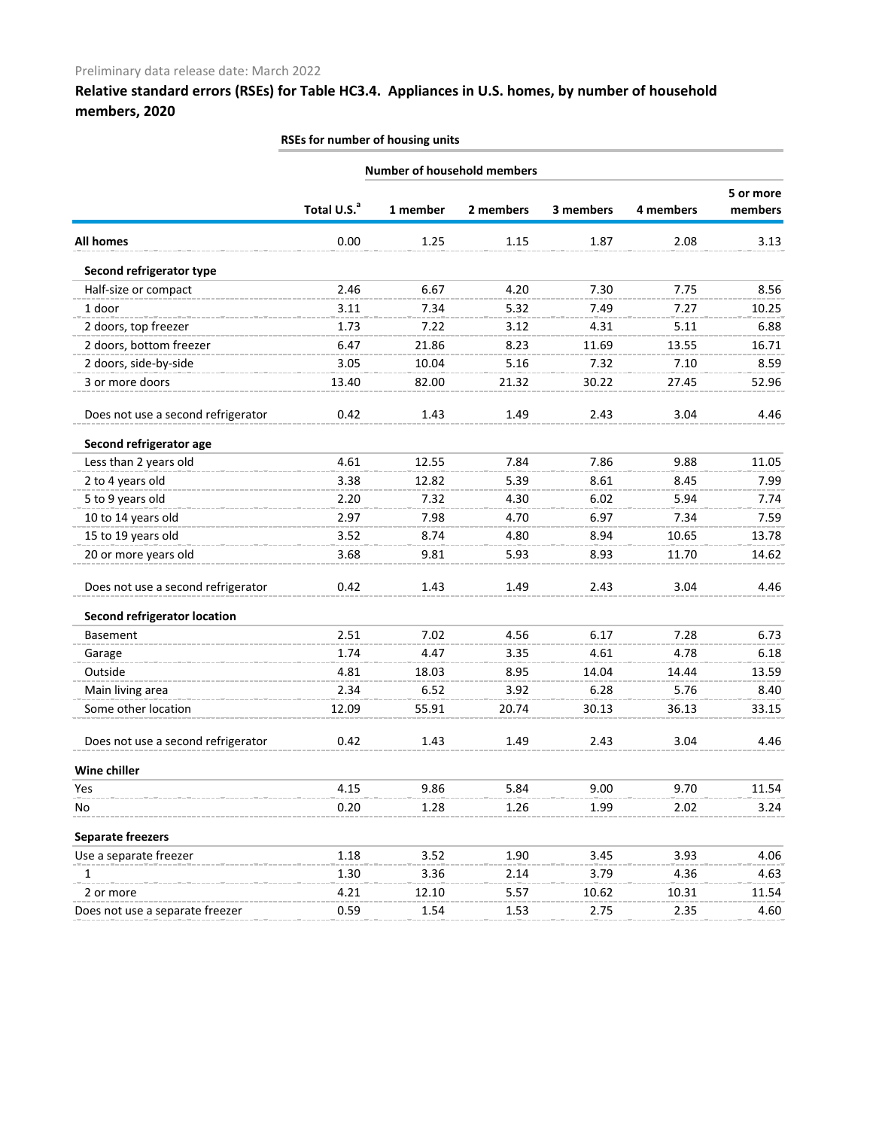# **Relative standard errors (RSEs) for Table HC3.4. Appliances in U.S. homes, by number of household members, 2020**

| RSEs for number of housing units   |                                    |          |           |           |           |                      |  |  |  |
|------------------------------------|------------------------------------|----------|-----------|-----------|-----------|----------------------|--|--|--|
|                                    | <b>Number of household members</b> |          |           |           |           |                      |  |  |  |
|                                    | Total U.S. <sup>a</sup>            | 1 member | 2 members | 3 members | 4 members | 5 or more<br>members |  |  |  |
| <b>All homes</b>                   | 0.00                               | 1.25     | 1.15      | 1.87      | 2.08      | 3.13                 |  |  |  |
| Second refrigerator type           |                                    |          |           |           |           |                      |  |  |  |
| Half-size or compact               | 2.46                               | 6.67     | 4.20      | 7.30      | 7.75      | 8.56                 |  |  |  |
| 1 door                             | 3.11                               | 7.34     | 5.32      | 7.49      | 7.27      | 10.25                |  |  |  |
| 2 doors, top freezer               | 1.73                               | 7.22     | 3.12      | 4.31      | 5.11      | 6.88                 |  |  |  |
| 2 doors, bottom freezer            | 6.47                               | 21.86    | 8.23      | 11.69     | 13.55     | 16.71                |  |  |  |
| 2 doors, side-by-side              | 3.05                               | 10.04    | 5.16      | 7.32      | 7.10      | 8.59                 |  |  |  |
| 3 or more doors                    | 13.40                              | 82.00    | 21.32     | 30.22     | 27.45     | 52.96                |  |  |  |
| Does not use a second refrigerator | 0.42                               | 1.43     | 1.49      | 2.43      | 3.04      | 4.46                 |  |  |  |
| Second refrigerator age            |                                    |          |           |           |           |                      |  |  |  |
| Less than 2 years old              | 4.61                               | 12.55    | 7.84      | 7.86      | 9.88      | 11.05                |  |  |  |
| 2 to 4 years old                   | 3.38                               | 12.82    | 5.39      | 8.61      | 8.45      | 7.99                 |  |  |  |
| 5 to 9 years old                   | 2.20                               | 7.32     | 4.30      | 6.02      | 5.94      | 7.74                 |  |  |  |
| 10 to 14 years old                 | 2.97                               | 7.98     | 4.70      | 6.97      | 7.34      | 7.59                 |  |  |  |
| 15 to 19 years old                 | 3.52                               | 8.74     | 4.80      | 8.94      | 10.65     | 13.78                |  |  |  |
| 20 or more years old               | 3.68                               | 9.81     | 5.93      | 8.93      | 11.70     | 14.62                |  |  |  |
| Does not use a second refrigerator | 0.42                               | 1.43     | 1.49      | 2.43      | 3.04      | 4.46                 |  |  |  |
| Second refrigerator location       |                                    |          |           |           |           |                      |  |  |  |
| <b>Basement</b>                    | 2.51                               | 7.02     | 4.56      | 6.17      | 7.28      | 6.73                 |  |  |  |
| Garage                             | 1.74                               | 4.47     | 3.35      | 4.61      | 4.78      | 6.18                 |  |  |  |
| Outside                            | 4.81                               | 18.03    | 8.95      | 14.04     | 14.44     | 13.59                |  |  |  |
| Main living area                   | 2.34                               | 6.52     | 3.92      | 6.28      | 5.76      | 8.40                 |  |  |  |
| Some other location                | 12.09                              | 55.91    | 20.74     | 30.13     | 36.13     | 33.15                |  |  |  |
| Does not use a second refrigerator | 0.42                               | 1.43     | 1.49      | 2.43      | 3.04      | 4.46                 |  |  |  |
| Wine chiller                       |                                    |          |           |           |           |                      |  |  |  |
| Yes                                | 4.15                               | 9.86     | 5.84      | 9.00      | 9.70      | 11.54                |  |  |  |
| No                                 | 0.20                               | 1.28     | 1.26      | 1.99      | 2.02      | 3.24                 |  |  |  |
| <b>Separate freezers</b>           |                                    |          |           |           |           |                      |  |  |  |
| Use a separate freezer             | 1.18                               | 3.52     | 1.90      | 3.45      | 3.93      | 4.06                 |  |  |  |
| 1                                  | 1.30                               | 3.36     | 2.14      | 3.79      | 4.36      | 4.63                 |  |  |  |
| 2 or more                          | 4.21                               | 12.10    | 5.57      | 10.62     | 10.31     | 11.54                |  |  |  |
| Does not use a separate freezer    | 0.59                               | 1.54     | 1.53      | 2.75      | 2.35      | 4.60                 |  |  |  |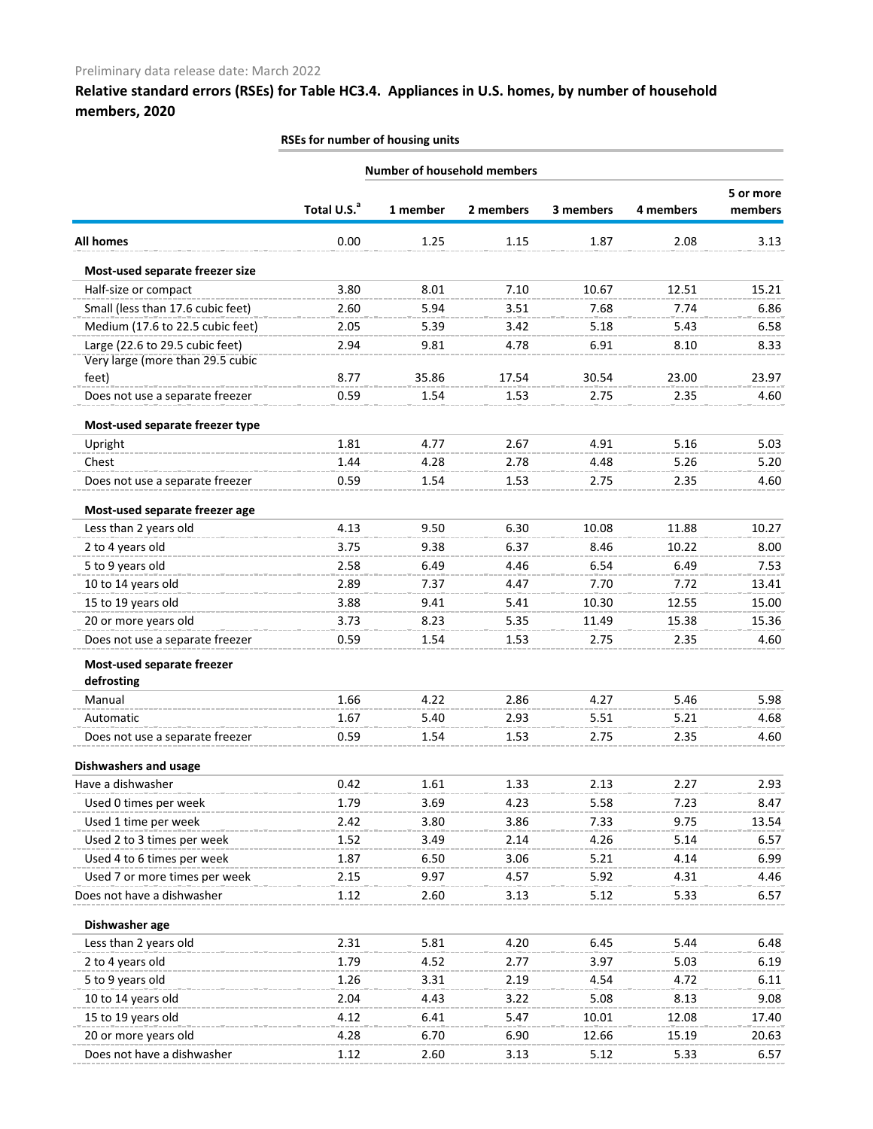## **Relative standard errors (RSEs) for Table HC3.4. Appliances in U.S. homes, by number of household members, 2020**

## **Total U.S.a 1 member 2 members 3 members 4 members 5 or more members All homes** 0.00 1.25 1.15 1.87 2.08 3.13 **Number of household members Most-used separate freezer size** Half-size or compact and the same compact and the same state of the same state of the same state of the same state of the same state of the same state of the same state of the same state of the same state of the same state Small (less than 17.6 cubic feet) 2.60 5.94 3.51 7.68 7.74 6.86 Medium (17.6 to 22.5 cubic feet) 2.05 5.39 3.42 5.18 5.43 6.58 Large (22.6 to 29.5 cubic feet) 2.94 9.81 4.78 6.91 8.10 8.33 Very large (more than 29.5 cubic feet) 8.77 35.86 17.54 30.54 23.00 23.97 Does not use a separate freezer **0.59** 1.54 1.53 2.75 2.35 4.60 **Most-used separate freezer type** Upright 1.81 4.77 2.67 4.91 5.16 5.03 Chest 1.44 4.28 2.78 4.48 5.26 5.20 Does not use a separate freezer 0.59 1.54 1.53 2.75 2.35 4.60 **Most-used separate freezer age** Less than 2 years old **4.13** 9.50 6.30 10.08 11.88 10.27 2 to 4 years old 3.75 9.38 6.37 8.46 10.22 8.00 5 to 9 years old 2.58 6.49 4.46 6.54 6.49 7.53 10 to 14 years old 2.89 7.37 4.47 7.70 7.72 13.41 15 to 19 years old 3.88 9.41 5.41 10.30 12.55 15.00 20 or more years old 3.73 8.23 5.35 11.49 15.38 15.36 Does not use a separate freezer 0.59 1.54 1.53 2.75 2.35 4.60 **Most-used separate freezer defrosting** Manual 1.66 4.22 2.86 4.27 5.46 5.98 Automatic 1.67 5.40 2.93 5.51 5.21 4.68 Does not use a separate freezer 0.59 1.54 1.53 2.75 2.35 4.60 **Dishwashers and usage** Have a dishwasher 0.42 1.61 1.33 2.13 2.27 2.93 Used 0 times per week 1.79 3.69 4.23 5.58 7.23 8.47 Used 1 time per week 2.42 3.80 3.86 7.33 9.75 13.54 Used 2 to 3 times per week 1.52 3.49 2.14 4.26 5.14 6.57 Used 4 to 6 times per week 1.87 6.50 3.06 5.21 4.14 6.99 Used 7 or more times per week 2.15 9.97 4.57 5.92 4.31 4.46 Does not have a dishwasher 1.12 2.60 3.13 5.12 5.33 6.57 **Dishwasher age** Less than 2 years old 2.31 5.81 4.20 6.45 5.44 6.48 2 to 4 years old 1.79 4.52 2.77 3.97 5.03 6.19 5 to 9 years old 1.26 3.31 2.19 4.54 4.72 6.11 10 to 14 years old 2.04 4.43 3.22 5.08 8.13 9.08 15 to 19 years old 4.12 6.41 5.47 10.01 12.08 17.40 20 or more years old 4.28 6.70 6.90 12.66 15.19 20.63 Does not have a dishwasher 1.12 1.12 2.60 3.13 5.12 5.33 6.57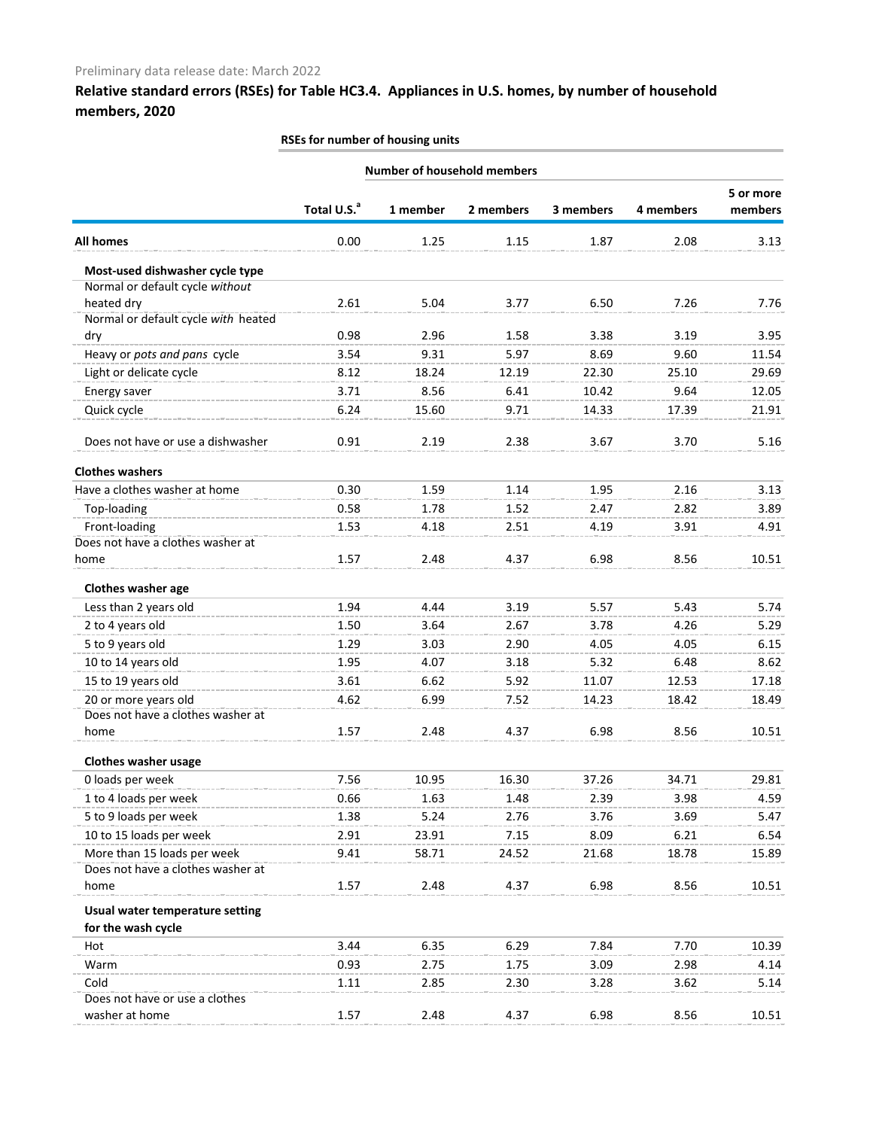## **Relative standard errors (RSEs) for Table HC3.4. Appliances in U.S. homes, by number of household members, 2020**

|                                     |                         |          | <b>Number of household members</b> |           |           |                      |
|-------------------------------------|-------------------------|----------|------------------------------------|-----------|-----------|----------------------|
|                                     |                         |          | 2 members                          | 3 members | 4 members | 5 or more<br>members |
|                                     | Total U.S. <sup>a</sup> | 1 member |                                    |           |           |                      |
| <b>All homes</b>                    | 0.00                    | 1.25     | 1.15                               | 1.87      | 2.08      | 3.13                 |
| Most-used dishwasher cycle type     |                         |          |                                    |           |           |                      |
| Normal or default cycle without     |                         |          |                                    |           |           |                      |
| heated dry                          | 2.61                    | 5.04     | 3.77                               | 6.50      | 7.26      | 7.76                 |
| Normal or default cycle with heated |                         |          |                                    |           |           |                      |
| dry                                 | 0.98                    | 2.96     | 1.58                               | 3.38      | 3.19      | 3.95                 |
| Heavy or pots and pans cycle        | 3.54                    | 9.31     | 5.97                               | 8.69      | 9.60      | 11.54                |
| Light or delicate cycle             | 8.12                    | 18.24    | 12.19                              | 22.30     | 25.10     | 29.69                |
| Energy saver                        | 3.71                    | 8.56     | 6.41                               | 10.42     | 9.64      | 12.05                |
| Quick cycle                         | 6.24                    | 15.60    | 9.71                               | 14.33     | 17.39     | 21.91                |
| Does not have or use a dishwasher   | 0.91                    | 2.19     | 2.38                               | 3.67      | 3.70      | 5.16                 |
| <b>Clothes washers</b>              |                         |          |                                    |           |           |                      |
| Have a clothes washer at home       | 0.30                    | 1.59     | 1.14                               | 1.95      | 2.16      | 3.13                 |
| Top-loading                         | 0.58                    | 1.78     | 1.52                               | 2.47      | 2.82      | 3.89                 |
| Front-loading                       | 1.53                    | 4.18     | 2.51                               | 4.19      | 3.91      | 4.91                 |
| Does not have a clothes washer at   |                         |          |                                    |           |           |                      |
| home                                | 1.57                    | 2.48     | 4.37                               | 6.98      | 8.56      | 10.51                |
| Clothes washer age                  |                         |          |                                    |           |           |                      |
| Less than 2 years old               | 1.94                    | 4.44     | 3.19                               | 5.57      | 5.43      | 5.74                 |
| 2 to 4 years old                    | 1.50                    | 3.64     | 2.67                               | 3.78      | 4.26      | 5.29                 |
| 5 to 9 years old                    | 1.29                    | 3.03     | 2.90                               | 4.05      | 4.05      | 6.15                 |
| 10 to 14 years old                  | 1.95                    | 4.07     | 3.18                               | 5.32      | 6.48      | 8.62                 |
| 15 to 19 years old                  | 3.61                    | 6.62     | 5.92                               | 11.07     | 12.53     | 17.18                |
| 20 or more years old                | 4.62                    | 6.99     | 7.52                               | 14.23     | 18.42     | 18.49                |
| Does not have a clothes washer at   |                         |          |                                    |           |           |                      |
| home                                | 1.57                    | 2.48     | 4.37                               | 6.98      | 8.56      | 10.51                |
| Clothes washer usage                |                         |          |                                    |           |           |                      |
| 0 loads per week                    | 7.56                    | 10.95    | 16.30                              | 37.26     | 34.71     | 29.81                |
| 1 to 4 loads per week               | 0.66                    | 1.63     | 1.48                               | 2.39      | 3.98      | 4.59                 |
| 5 to 9 loads per week               | 1.38                    | 5.24     | 2.76                               | 3.76      | 3.69      | 5.47                 |
| 10 to 15 loads per week             | 2.91                    | 23.91    | 7.15                               | 8.09      | 6.21      | 6.54                 |
| More than 15 loads per week         | 9.41                    | 58.71    | 24.52                              | 21.68     | 18.78     | 15.89                |
| Does not have a clothes washer at   |                         |          |                                    |           |           |                      |
| home                                | 1.57                    | 2.48     | 4.37                               | 6.98      | 8.56      | 10.51                |
| Usual water temperature setting     |                         |          |                                    |           |           |                      |
| for the wash cycle                  |                         |          |                                    |           |           |                      |
| Hot                                 | 3.44                    | 6.35     | 6.29                               | 7.84      | 7.70      | 10.39                |
| Warm                                | 0.93                    | 2.75     | 1.75                               | 3.09      | 2.98      | 4.14                 |
| Cold                                | 1.11                    | 2.85     | 2.30                               | 3.28      | 3.62      | 5.14                 |
| Does not have or use a clothes      |                         |          |                                    |           |           |                      |
| washer at home                      | 1.57                    | 2.48     | 4.37                               | 6.98      | 8.56      | 10.51                |